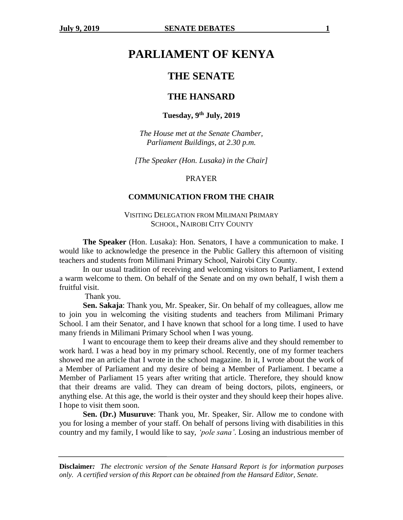# **PARLIAMENT OF KENYA**

## **THE SENATE**

## **THE HANSARD**

## **Tuesday, 9th July, 2019**

*The House met at the Senate Chamber, Parliament Buildings, at 2.30 p.m.*

*[The Speaker (Hon. Lusaka) in the Chair]*

## PRAYER

## **COMMUNICATION FROM THE CHAIR**

## VISITING DELEGATION FROM MILIMANI PRIMARY SCHOOL, NAIROBI CITY COUNTY

**The Speaker** (Hon. Lusaka): Hon. Senators, I have a communication to make. I would like to acknowledge the presence in the Public Gallery this afternoon of visiting teachers and students from Milimani Primary School, Nairobi City County.

In our usual tradition of receiving and welcoming visitors to Parliament, I extend a warm welcome to them. On behalf of the Senate and on my own behalf, I wish them a fruitful visit.

Thank you.

**Sen. Sakaja**: Thank you, Mr. Speaker, Sir. On behalf of my colleagues, allow me to join you in welcoming the visiting students and teachers from Milimani Primary School. I am their Senator, and I have known that school for a long time. I used to have many friends in Milimani Primary School when I was young.

I want to encourage them to keep their dreams alive and they should remember to work hard. I was a head boy in my primary school. Recently, one of my former teachers showed me an article that I wrote in the school magazine. In it, I wrote about the work of a Member of Parliament and my desire of being a Member of Parliament. I became a Member of Parliament 15 years after writing that article. Therefore, they should know that their dreams are valid. They can dream of being doctors, pilots, engineers, or anything else. At this age, the world is their oyster and they should keep their hopes alive. I hope to visit them soon.

**Sen. (Dr.) Musuruve**: Thank you, Mr. Speaker, Sir. Allow me to condone with you for losing a member of your staff. On behalf of persons living with disabilities in this country and my family, I would like to say, *'pole sana'*. Losing an industrious member of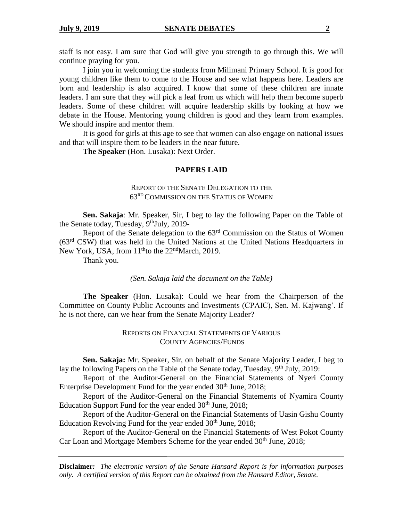staff is not easy. I am sure that God will give you strength to go through this. We will continue praying for you.

I join you in welcoming the students from Milimani Primary School. It is good for young children like them to come to the House and see what happens here. Leaders are born and leadership is also acquired. I know that some of these children are innate leaders. I am sure that they will pick a leaf from us which will help them become superb leaders. Some of these children will acquire leadership skills by looking at how we debate in the House. Mentoring young children is good and they learn from examples. We should inspire and mentor them.

It is good for girls at this age to see that women can also engage on national issues and that will inspire them to be leaders in the near future.

**The Speaker** (Hon. Lusaka): Next Order.

#### **PAPERS LAID**

## REPORT OF THE SENATE DELEGATION TO THE 63RD COMMISSION ON THE STATUS OF WOMEN

**Sen. Sakaja**: Mr. Speaker, Sir, I beg to lay the following Paper on the Table of the Senate today, Tuesday, 9<sup>th</sup>July, 2019-

Report of the Senate delegation to the  $63<sup>rd</sup>$  Commission on the Status of Women (63rd CSW) that was held in the United Nations at the United Nations Headquarters in New York, USA, from  $11<sup>th</sup>$  to the  $22<sup>nd</sup>$  March, 2019.

Thank you.

*(Sen. Sakaja laid the document on the Table)*

**The Speaker** (Hon. Lusaka): Could we hear from the Chairperson of the Committee on County Public Accounts and Investments (CPAIC), Sen. M. Kajwang'. If he is not there, can we hear from the Senate Majority Leader?

> REPORTS ON FINANCIAL STATEMENTS OF VARIOUS COUNTY AGENCIES/FUNDS

**Sen. Sakaja:** Mr. Speaker, Sir, on behalf of the Senate Majority Leader, I beg to lay the following Papers on the Table of the Senate today, Tuesday,  $9<sup>th</sup>$  July, 2019:

Report of the Auditor-General on the Financial Statements of Nyeri County Enterprise Development Fund for the year ended  $30<sup>th</sup>$  June,  $2018$ ;

Report of the Auditor-General on the Financial Statements of Nyamira County Education Support Fund for the year ended  $30<sup>th</sup>$  June, 2018;

Report of the Auditor-General on the Financial Statements of Uasin Gishu County Education Revolving Fund for the year ended  $30<sup>th</sup>$  June, 2018;

Report of the Auditor-General on the Financial Statements of West Pokot County Car Loan and Mortgage Members Scheme for the year ended 30<sup>th</sup> June, 2018;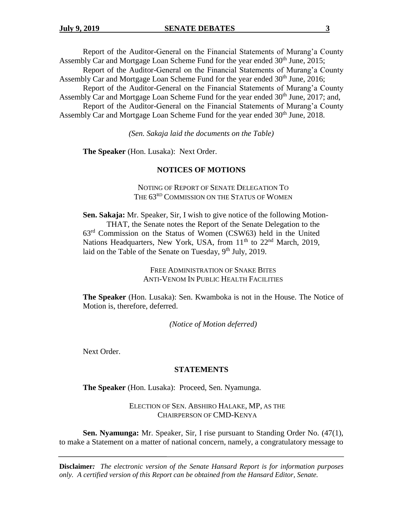Report of the Auditor-General on the Financial Statements of Murang'a County Assembly Car and Mortgage Loan Scheme Fund for the year ended  $30<sup>th</sup>$  June, 2015;

Report of the Auditor-General on the Financial Statements of Murang'a County Assembly Car and Mortgage Loan Scheme Fund for the year ended 30<sup>th</sup> June, 2016;

Report of the Auditor-General on the Financial Statements of Murang'a County Assembly Car and Mortgage Loan Scheme Fund for the year ended 30<sup>th</sup> June, 2017; and, Report of the Auditor-General on the Financial Statements of Murang'a County

Assembly Car and Mortgage Loan Scheme Fund for the year ended 30<sup>th</sup> June, 2018.

*(Sen. Sakaja laid the documents on the Table)*

**The Speaker** (Hon. Lusaka): Next Order.

#### **NOTICES OF MOTIONS**

NOTING OF REPORT OF SENATE DELEGATION TO THE 63<sup>RD</sup> COMMISSION ON THE STATUS OF WOMEN

**Sen. Sakaja:** Mr. Speaker, Sir, I wish to give notice of the following Motion-THAT, the Senate notes the Report of the Senate Delegation to the 63rd Commission on the Status of Women (CSW63) held in the United Nations Headquarters, New York, USA, from 11<sup>th</sup> to 22<sup>nd</sup> March, 2019, laid on the Table of the Senate on Tuesday,  $9<sup>th</sup>$  July, 2019.

> FREE ADMINISTRATION OF SNAKE BITES ANTI-VENOM IN PUBLIC HEALTH FACILITIES

**The Speaker** (Hon. Lusaka): Sen. Kwamboka is not in the House. The Notice of Motion is, therefore, deferred.

*(Notice of Motion deferred)*

Next Order.

#### **STATEMENTS**

**The Speaker** (Hon. Lusaka): Proceed, Sen. Nyamunga.

ELECTION OF SEN. ABSHIRO HALAKE, MP, AS THE CHAIRPERSON OF CMD-KENYA

**Sen. Nyamunga:** Mr. Speaker, Sir, I rise pursuant to Standing Order No. (47(1), to make a Statement on a matter of national concern, namely, a congratulatory message to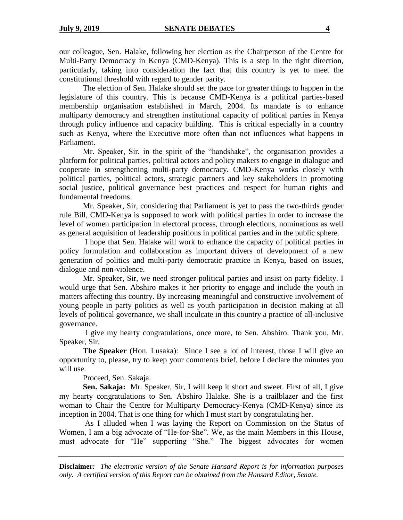our colleague, Sen. Halake, following her election as the Chairperson of the Centre for Multi-Party Democracy in Kenya (CMD-Kenya). This is a step in the right direction, particularly, taking into consideration the fact that this country is yet to meet the constitutional threshold with regard to gender parity.

The election of Sen. Halake should set the pace for greater things to happen in the legislature of this country. This is because CMD-Kenya is a political parties-based membership organisation established in March, 2004. Its mandate is to enhance multiparty democracy and strengthen institutional capacity of political parties in Kenya through policy influence and capacity building. This is critical especially in a country such as Kenya, where the Executive more often than not influences what happens in Parliament.

Mr. Speaker, Sir, in the spirit of the "handshake", the organisation provides a platform for political parties, political actors and policy makers to engage in dialogue and cooperate in strengthening multi-party democracy. CMD-Kenya works closely with political parties, political actors, strategic partners and key stakeholders in promoting social justice, political governance best practices and respect for human rights and fundamental freedoms.

Mr. Speaker, Sir, considering that Parliament is yet to pass the two-thirds gender rule Bill, CMD-Kenya is supposed to work with political parties in order to increase the level of women participation in electoral process, through elections, nominations as well as general acquisition of leadership positions in political parties and in the public sphere.

I hope that Sen. Halake will work to enhance the capacity of political parties in policy formulation and collaboration as important drivers of development of a new generation of politics and multi-party democratic practice in Kenya, based on issues, dialogue and non-violence.

Mr. Speaker, Sir, we need stronger political parties and insist on party fidelity. I would urge that Sen. Abshiro makes it her priority to engage and include the youth in matters affecting this country. By increasing meaningful and constructive involvement of young people in party politics as well as youth participation in decision making at all levels of political governance, we shall inculcate in this country a practice of all-inclusive governance.

I give my hearty congratulations, once more, to Sen. Abshiro. Thank you, Mr. Speaker, Sir.

**The Speaker** (Hon. Lusaka): Since I see a lot of interest, those I will give an opportunity to, please, try to keep your comments brief, before I declare the minutes you will use.

Proceed, Sen. Sakaja.

**Sen. Sakaja:** Mr. Speaker, Sir, I will keep it short and sweet. First of all, I give my hearty congratulations to Sen. Abshiro Halake. She is a trailblazer and the first woman to Chair the Centre for Multiparty Democracy-Kenya (CMD-Kenya) since its inception in 2004. That is one thing for which I must start by congratulating her.

As I alluded when I was laying the Report on Commission on the Status of Women, I am a big advocate of "He-for-She". We, as the main Members in this House, must advocate for "He" supporting "She." The biggest advocates for women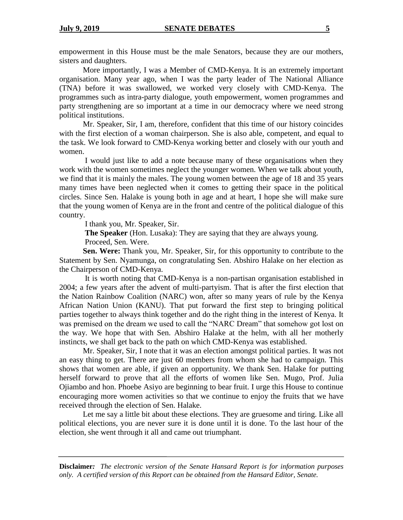empowerment in this House must be the male Senators, because they are our mothers, sisters and daughters.

More importantly, I was a Member of CMD-Kenya. It is an extremely important organisation. Many year ago, when I was the party leader of The National Alliance (TNA) before it was swallowed, we worked very closely with CMD-Kenya. The programmes such as intra-party dialogue, youth empowerment, women programmes and party strengthening are so important at a time in our democracy where we need strong political institutions.

Mr. Speaker, Sir, I am, therefore, confident that this time of our history coincides with the first election of a woman chairperson. She is also able, competent, and equal to the task. We look forward to CMD-Kenya working better and closely with our youth and women.

I would just like to add a note because many of these organisations when they work with the women sometimes neglect the younger women. When we talk about youth, we find that it is mainly the males. The young women between the age of 18 and 35 years many times have been neglected when it comes to getting their space in the political circles. Since Sen. Halake is young both in age and at heart, I hope she will make sure that the young women of Kenya are in the front and centre of the political dialogue of this country.

I thank you, Mr. Speaker, Sir.

**The Speaker** (Hon. Lusaka): They are saying that they are always young.

Proceed, Sen. Were.

**Sen. Were:** Thank you, Mr. Speaker, Sir, for this opportunity to contribute to the Statement by Sen. Nyamunga, on congratulating Sen. Abshiro Halake on her election as the Chairperson of CMD-Kenya.

It is worth noting that CMD-Kenya is a non-partisan organisation established in 2004; a few years after the advent of multi-partyism. That is after the first election that the Nation Rainbow Coalition (NARC) won, after so many years of rule by the Kenya African Nation Union (KANU). That put forward the first step to bringing political parties together to always think together and do the right thing in the interest of Kenya. It was premised on the dream we used to call the "NARC Dream" that somehow got lost on the way. We hope that with Sen. Abshiro Halake at the helm, with all her motherly instincts, we shall get back to the path on which CMD-Kenya was established.

Mr. Speaker, Sir, I note that it was an election amongst political parties. It was not an easy thing to get. There are just 60 members from whom she had to campaign. This shows that women are able, if given an opportunity. We thank Sen. Halake for putting herself forward to prove that all the efforts of women like Sen. Mugo, Prof. Julia Ojiambo and hon. Phoebe Asiyo are beginning to bear fruit. I urge this House to continue encouraging more women activities so that we continue to enjoy the fruits that we have received through the election of Sen. Halake.

Let me say a little bit about these elections. They are gruesome and tiring. Like all political elections, you are never sure it is done until it is done. To the last hour of the election, she went through it all and came out triumphant.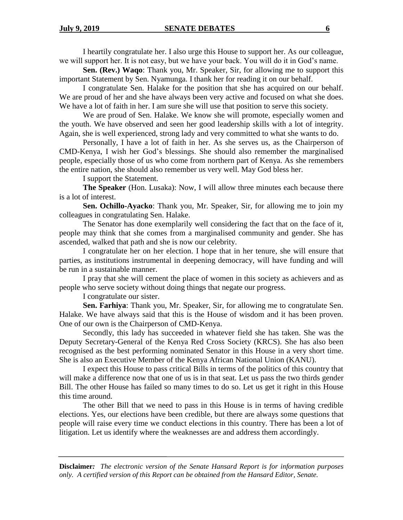I heartily congratulate her. I also urge this House to support her. As our colleague, we will support her. It is not easy, but we have your back. You will do it in God's name.

**Sen. (Rev.) Waqo**: Thank you, Mr. Speaker, Sir, for allowing me to support this important Statement by Sen. Nyamunga. I thank her for reading it on our behalf.

I congratulate Sen. Halake for the position that she has acquired on our behalf. We are proud of her and she have always been very active and focused on what she does. We have a lot of faith in her. I am sure she will use that position to serve this society.

We are proud of Sen. Halake. We know she will promote, especially women and the youth. We have observed and seen her good leadership skills with a lot of integrity. Again, she is well experienced, strong lady and very committed to what she wants to do.

Personally, I have a lot of faith in her. As she serves us, as the Chairperson of CMD-Kenya, I wish her God's blessings. She should also remember the marginalised people, especially those of us who come from northern part of Kenya. As she remembers the entire nation, she should also remember us very well. May God bless her.

I support the Statement.

**The Speaker** (Hon. Lusaka): Now, I will allow three minutes each because there is a lot of interest.

**Sen. Ochillo-Ayacko**: Thank you, Mr. Speaker, Sir, for allowing me to join my colleagues in congratulating Sen. Halake.

The Senator has done exemplarily well considering the fact that on the face of it, people may think that she comes from a marginalised community and gender. She has ascended, walked that path and she is now our celebrity.

I congratulate her on her election. I hope that in her tenure, she will ensure that parties, as institutions instrumental in deepening democracy, will have funding and will be run in a sustainable manner.

I pray that she will cement the place of women in this society as achievers and as people who serve society without doing things that negate our progress.

I congratulate our sister.

**Sen. Farhiya**: Thank you, Mr. Speaker, Sir, for allowing me to congratulate Sen. Halake. We have always said that this is the House of wisdom and it has been proven. One of our own is the Chairperson of CMD-Kenya.

Secondly, this lady has succeeded in whatever field she has taken. She was the Deputy Secretary-General of the Kenya Red Cross Society (KRCS). She has also been recognised as the best performing nominated Senator in this House in a very short time. She is also an Executive Member of the Kenya African National Union (KANU).

I expect this House to pass critical Bills in terms of the politics of this country that will make a difference now that one of us is in that seat. Let us pass the two thirds gender Bill. The other House has failed so many times to do so. Let us get it right in this House this time around.

The other Bill that we need to pass in this House is in terms of having credible elections. Yes, our elections have been credible, but there are always some questions that people will raise every time we conduct elections in this country. There has been a lot of litigation. Let us identify where the weaknesses are and address them accordingly.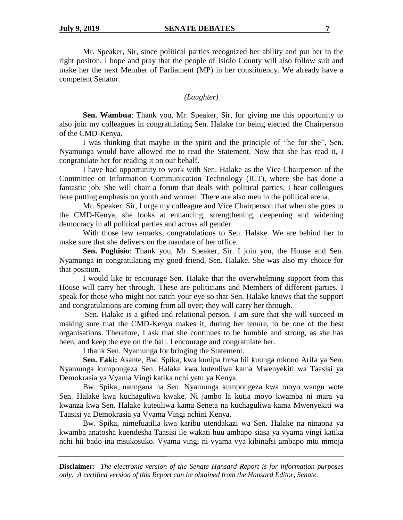Mr. Speaker, Sir, since political parties recognized her ability and put her in the right positon, I hope and pray that the people of Isiolo County will also follow suit and make her the next Member of Parliament (MP) in her constituency. We already have a competent Senator.

## *(Laughter)*

**Sen. Wambua**: Thank you, Mr. Speaker, Sir, for giving me this opportunity to also join my colleagues in congratulating Sen. Halake for being elected the Chairperson of the CMD-Kenya.

I was thinking that maybe in the spirit and the principle of "he for she", Sen. Nyamunga would have allowed me to read the Statement. Now that she has read it, I congratulate her for reading it on our behalf.

I have had opportunity to work with Sen. Halake as the Vice Chairperson of the Committee on Information Communication Technology (ICT), where she has done a fantastic job. She will chair a forum that deals with political parties. I hear colleagues here putting emphasis on youth and women. There are also men in the political arena.

Mr. Speaker, Sir, I urge my colleague and Vice Chairperson that when she goes to the CMD-Kenya, she looks at enhancing, strengthening, deepening and widening democracy in all political parties and across all gender.

With those few remarks, congratulations to Sen. Halake. We are behind her to make sure that she delivers on the mandate of her office.

**Sen. Poghisio**: Thank you, Mr. Speaker, Sir. I join you, the House and Sen. Nyamunga in congratulating my good friend, Sen. Halake. She was also my choice for that position.

I would like to encourage Sen. Halake that the overwhelming support from this House will carry her through. These are politicians and Members of different parties. I speak for those who might not catch your eye so that Sen. Halake knows that the support and congratulations are coming from all over; they will carry her through.

Sen. Halake is a gifted and relational person. I am sure that she will succeed in making sure that the CMD-Kenya makes it, during her tenure, to be one of the best organisations. Therefore, I ask that she continues to be humble and strong, as she has been, and keep the eye on the ball. I encourage and congratulate her.

I thank Sen. Nyamunga for bringing the Statement.

**Sen. Faki:** Asante, Bw. Spika, kwa kunipa fursa hii kuunga mkono Arifa ya Sen. Nyamunga kumpongeza Sen. Halake kwa kuteuliwa kama Mwenyekiti wa Taasisi ya Demokrasia ya Vyama Vingi katika nchi yetu ya Kenya.

Bw. Spika, naungana na Sen. Nyamunga kumpongeza kwa moyo wangu wote Sen. Halake kwa kuchaguliwa kwake. Ni jambo la kutia moyo kwamba ni mara ya kwanza kwa Sen. Halake kuteuliwa kama Seneta na kuchaguliwa kama Mwenyekiti wa Taasisi ya Demokrasia ya Vyama Vingi nchini Kenya.

Bw. Spika, nimefuatilia kwa karibu utendakazi wa Sen. Halake na ninaona ya kwamba anatosha kuendesha Taasisi ile wakati huu ambapo siasa ya vyama vingi katika nchi hii bado ina msukosuko. Vyama vingi ni vyama vya kibinafsi ambapo mtu mmoja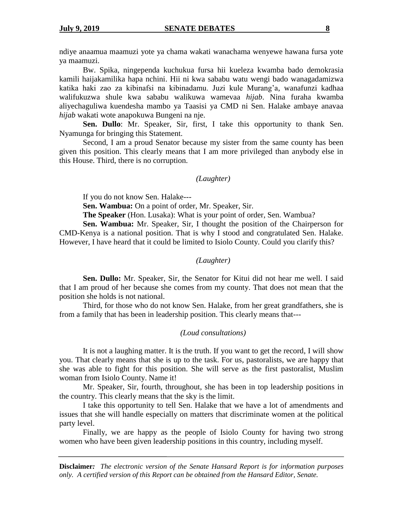ndiye anaamua maamuzi yote ya chama wakati wanachama wenyewe hawana fursa yote ya maamuzi.

Bw. Spika, ningependa kuchukua fursa hii kueleza kwamba bado demokrasia kamili haijakamilika hapa nchini. Hii ni kwa sababu watu wengi bado wanagadamizwa katika haki zao za kibinafsi na kibinadamu. Juzi kule Murang'a, wanafunzi kadhaa walifukuzwa shule kwa sababu walikuwa wamevaa *hijab*. Nina furaha kwamba aliyechaguliwa kuendesha mambo ya Taasisi ya CMD ni Sen. Halake ambaye anavaa *hijab* wakati wote anapokuwa Bungeni na nje.

**Sen. Dullo**: Mr. Speaker, Sir, first, I take this opportunity to thank Sen. Nyamunga for bringing this Statement.

Second, I am a proud Senator because my sister from the same county has been given this position. This clearly means that I am more privileged than anybody else in this House. Third, there is no corruption.

#### *(Laughter)*

If you do not know Sen. Halake---

**Sen. Wambua:** On a point of order, Mr. Speaker, Sir.

**The Speaker** (Hon. Lusaka): What is your point of order, Sen. Wambua?

**Sen. Wambua:** Mr. Speaker, Sir, I thought the position of the Chairperson for CMD-Kenya is a national position. That is why I stood and congratulated Sen. Halake. However, I have heard that it could be limited to Isiolo County. Could you clarify this?

## *(Laughter)*

**Sen. Dullo:** Mr. Speaker, Sir, the Senator for Kitui did not hear me well. I said that I am proud of her because she comes from my county. That does not mean that the position she holds is not national.

Third, for those who do not know Sen. Halake, from her great grandfathers, she is from a family that has been in leadership position. This clearly means that---

#### *(Loud consultations)*

It is not a laughing matter. It is the truth. If you want to get the record, I will show you. That clearly means that she is up to the task. For us, pastoralists, we are happy that she was able to fight for this position. She will serve as the first pastoralist, Muslim woman from Isiolo County. Name it!

Mr. Speaker, Sir, fourth, throughout, she has been in top leadership positions in the country. This clearly means that the sky is the limit.

I take this opportunity to tell Sen. Halake that we have a lot of amendments and issues that she will handle especially on matters that discriminate women at the political party level.

Finally, we are happy as the people of Isiolo County for having two strong women who have been given leadership positions in this country, including myself.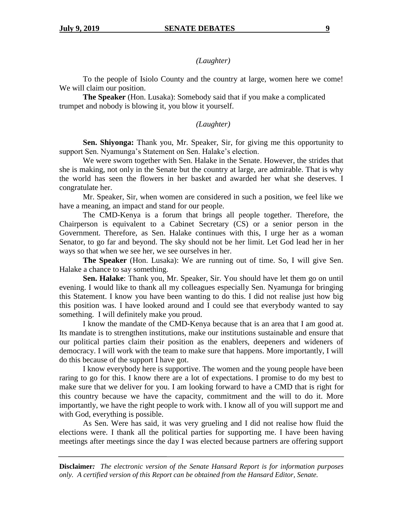*(Laughter)*

To the people of Isiolo County and the country at large, women here we come! We will claim our position.

**The Speaker** (Hon. Lusaka): Somebody said that if you make a complicated trumpet and nobody is blowing it, you blow it yourself.

## *(Laughter)*

**Sen. Shiyonga:** Thank you, Mr. Speaker, Sir, for giving me this opportunity to support Sen. Nyamunga's Statement on Sen. Halake's election.

We were sworn together with Sen. Halake in the Senate. However, the strides that she is making, not only in the Senate but the country at large, are admirable. That is why the world has seen the flowers in her basket and awarded her what she deserves. I congratulate her.

Mr. Speaker, Sir, when women are considered in such a position, we feel like we have a meaning, an impact and stand for our people.

The CMD-Kenya is a forum that brings all people together. Therefore, the Chairperson is equivalent to a Cabinet Secretary (CS) or a senior person in the Government. Therefore, as Sen. Halake continues with this, I urge her as a woman Senator, to go far and beyond. The sky should not be her limit. Let God lead her in her ways so that when we see her, we see ourselves in her.

**The Speaker** (Hon. Lusaka): We are running out of time. So, I will give Sen. Halake a chance to say something.

**Sen. Halake**: Thank you, Mr. Speaker, Sir. You should have let them go on until evening. I would like to thank all my colleagues especially Sen. Nyamunga for bringing this Statement. I know you have been wanting to do this. I did not realise just how big this position was. I have looked around and I could see that everybody wanted to say something. I will definitely make you proud.

I know the mandate of the CMD-Kenya because that is an area that I am good at. Its mandate is to strengthen institutions, make our institutions sustainable and ensure that our political parties claim their position as the enablers, deepeners and wideners of democracy. I will work with the team to make sure that happens. More importantly, I will do this because of the support I have got.

I know everybody here is supportive. The women and the young people have been raring to go for this. I know there are a lot of expectations. I promise to do my best to make sure that we deliver for you. I am looking forward to have a CMD that is right for this country because we have the capacity, commitment and the will to do it. More importantly, we have the right people to work with. I know all of you will support me and with God, everything is possible.

As Sen. Were has said, it was very grueling and I did not realise how fluid the elections were. I thank all the political parties for supporting me. I have been having meetings after meetings since the day I was elected because partners are offering support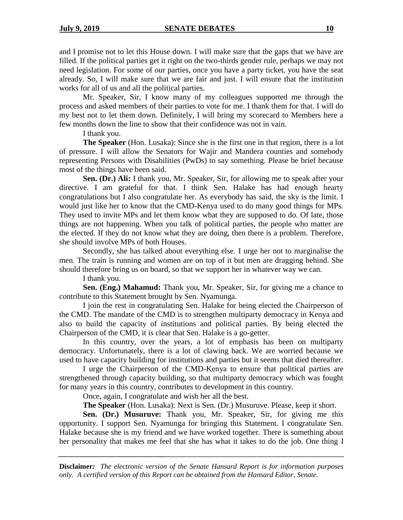and I promise not to let this House down. I will make sure that the gaps that we have are filled. If the political parties get it right on the two-thirds gender rule, perhaps we may not need legislation. For some of our parties, once you have a party ticket, you have the seat already. So, I will make sure that we are fair and just. I will ensure that the institution works for all of us and all the political parties.

Mr. Speaker, Sir, I know many of my colleagues supported me through the process and asked members of their parties to vote for me. I thank them for that. I will do my best not to let them down. Definitely, I will bring my scorecard to Members here a few months down the line to show that their confidence was not in vain.

I thank you.

**The Speaker** (Hon. Lusaka): Since she is the first one in that region, there is a lot of pressure. I will allow the Senators for Wajir and Mandera counties and somebody representing Persons with Disabilities (PwDs) to say something. Please be brief because most of the things have been said.

**Sen. (Dr.) Ali:** I thank you, Mr. Speaker, Sir, for allowing me to speak after your directive. I am grateful for that. I think Sen. Halake has had enough hearty congratulations but I also congratulate her. As everybody has said, the sky is the limit. I would just like her to know that the CMD-Kenya used to do many good things for MPs. They used to invite MPs and let them know what they are supposed to do. Of late, those things are not happening. When you talk of political parties, the people who matter are the elected. If they do not know what they are doing, then there is a problem. Therefore, she should involve MPs of both Houses.

Secondly, she has talked about everything else. I urge her not to marginalise the men. The train is running and women are on top of it but men are dragging behind. She should therefore bring us on board, so that we support her in whatever way we can.

I thank you.

**Sen. (Eng.) Mahamud:** Thank you, Mr. Speaker, Sir, for giving me a chance to contribute to this Statement brought by Sen. Nyamunga.

I join the rest in congratulating Sen. Halake for being elected the Chairperson of the CMD. The mandate of the CMD is to strengthen multiparty democracy in Kenya and also to build the capacity of institutions and political parties. By being elected the Chairperson of the CMD, it is clear that Sen. Halake is a go-getter.

In this country, over the years, a lot of emphasis has been on multiparty democracy. Unfortunately, there is a lot of clawing back. We are worried because we used to have capacity building for institutions and parties but it seems that died thereafter.

I urge the Chairperson of the CMD-Kenya to ensure that political parties are strengthened through capacity building, so that multiparty democracy which was fought for many years in this country, contributes to development in this country.

Once, again, I congratulate and wish her all the best.

**The Speaker** (Hon. Lusaka): Next is Sen. (Dr.) Musuruve. Please, keep it short.

**Sen. (Dr.) Musuruve:** Thank you, Mr. Speaker, Sir, for giving me this opportunity. I support Sen. Nyamunga for bringing this Statement. I congratulate Sen. Halake because she is my friend and we have worked together. There is something about her personality that makes me feel that she has what it takes to do the job. One thing I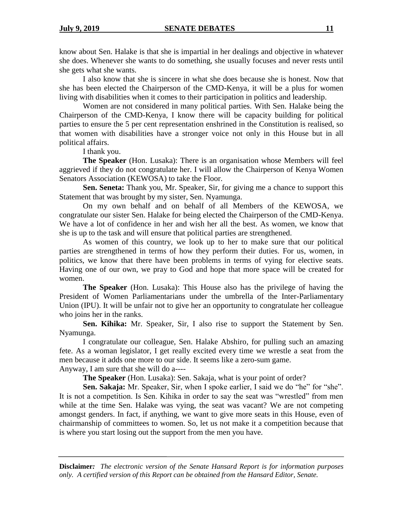know about Sen. Halake is that she is impartial in her dealings and objective in whatever she does. Whenever she wants to do something, she usually focuses and never rests until she gets what she wants.

I also know that she is sincere in what she does because she is honest. Now that she has been elected the Chairperson of the CMD-Kenya, it will be a plus for women living with disabilities when it comes to their participation in politics and leadership.

Women are not considered in many political parties. With Sen. Halake being the Chairperson of the CMD-Kenya, I know there will be capacity building for political parties to ensure the 5 per cent representation enshrined in the Constitution is realised, so that women with disabilities have a stronger voice not only in this House but in all political affairs.

I thank you.

**The Speaker** (Hon. Lusaka): There is an organisation whose Members will feel aggrieved if they do not congratulate her. I will allow the Chairperson of Kenya Women Senators Association (KEWOSA) to take the Floor.

**Sen. Seneta:** Thank you, Mr. Speaker, Sir, for giving me a chance to support this Statement that was brought by my sister, Sen. Nyamunga.

On my own behalf and on behalf of all Members of the KEWOSA, we congratulate our sister Sen. Halake for being elected the Chairperson of the CMD-Kenya. We have a lot of confidence in her and wish her all the best. As women, we know that she is up to the task and will ensure that political parties are strengthened.

As women of this country, we look up to her to make sure that our political parties are strengthened in terms of how they perform their duties. For us, women, in politics, we know that there have been problems in terms of vying for elective seats. Having one of our own, we pray to God and hope that more space will be created for women.

**The Speaker** (Hon. Lusaka): This House also has the privilege of having the President of Women Parliamentarians under the umbrella of the Inter-Parliamentary Union (IPU). It will be unfair not to give her an opportunity to congratulate her colleague who joins her in the ranks.

**Sen. Kihika:** Mr. Speaker, Sir, I also rise to support the Statement by Sen. Nyamunga.

I congratulate our colleague, Sen. Halake Abshiro, for pulling such an amazing fete. As a woman legislator, I get really excited every time we wrestle a seat from the men because it adds one more to our side. It seems like a zero-sum game.

Anyway, I am sure that she will do a----

**The Speaker** (Hon. Lusaka): Sen. Sakaja, what is your point of order?

Sen. Sakaja: Mr. Speaker, Sir, when I spoke earlier, I said we do "he" for "she". It is not a competition. Is Sen. Kihika in order to say the seat was "wrestled" from men while at the time Sen. Halake was vying, the seat was vacant? We are not competing amongst genders. In fact, if anything, we want to give more seats in this House, even of chairmanship of committees to women. So, let us not make it a competition because that is where you start losing out the support from the men you have.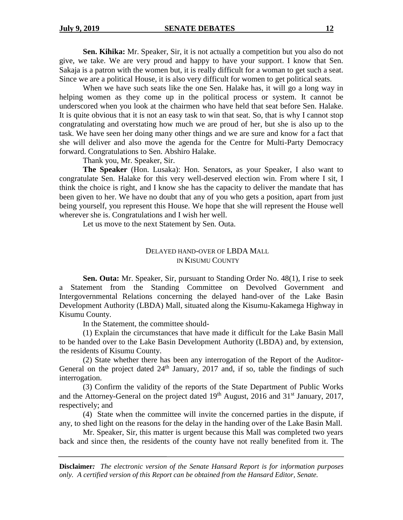**Sen. Kihika:** Mr. Speaker, Sir, it is not actually a competition but you also do not give, we take. We are very proud and happy to have your support. I know that Sen. Sakaja is a patron with the women but, it is really difficult for a woman to get such a seat. Since we are a political House, it is also very difficult for women to get political seats.

When we have such seats like the one Sen. Halake has, it will go a long way in helping women as they come up in the political process or system. It cannot be underscored when you look at the chairmen who have held that seat before Sen. Halake. It is quite obvious that it is not an easy task to win that seat. So, that is why I cannot stop congratulating and overstating how much we are proud of her, but she is also up to the task. We have seen her doing many other things and we are sure and know for a fact that she will deliver and also move the agenda for the Centre for Multi-Party Democracy forward. Congratulations to Sen. Abshiro Halake.

Thank you, Mr. Speaker, Sir.

**The Speaker** (Hon. Lusaka): Hon. Senators, as your Speaker, I also want to congratulate Sen. Halake for this very well-deserved election win. From where I sit, I think the choice is right, and I know she has the capacity to deliver the mandate that has been given to her. We have no doubt that any of you who gets a position, apart from just being yourself, you represent this House. We hope that she will represent the House well wherever she is. Congratulations and I wish her well.

Let us move to the next Statement by Sen. Outa.

## DELAYED HAND-OVER OF LBDA MALL IN KISUMU COUNTY

**Sen. Outa:** Mr. Speaker, Sir, pursuant to Standing Order No. 48(1), I rise to seek a Statement from the Standing Committee on Devolved Government and Intergovernmental Relations concerning the delayed hand-over of the Lake Basin Development Authority (LBDA) Mall, situated along the Kisumu-Kakamega Highway in Kisumu County.

In the Statement, the committee should-

(1) Explain the circumstances that have made it difficult for the Lake Basin Mall to be handed over to the Lake Basin Development Authority (LBDA) and, by extension, the residents of Kisumu County.

(2) State whether there has been any interrogation of the Report of the Auditor-General on the project dated  $24<sup>th</sup>$  January, 2017 and, if so, table the findings of such interrogation.

(3) Confirm the validity of the reports of the State Department of Public Works and the Attorney-General on the project dated 19<sup>th</sup> August, 2016 and 31<sup>st</sup> January, 2017, respectively; and

(4) State when the committee will invite the concerned parties in the dispute, if any, to shed light on the reasons for the delay in the handing over of the Lake Basin Mall.

Mr. Speaker, Sir, this matter is urgent because this Mall was completed two years back and since then, the residents of the county have not really benefited from it. The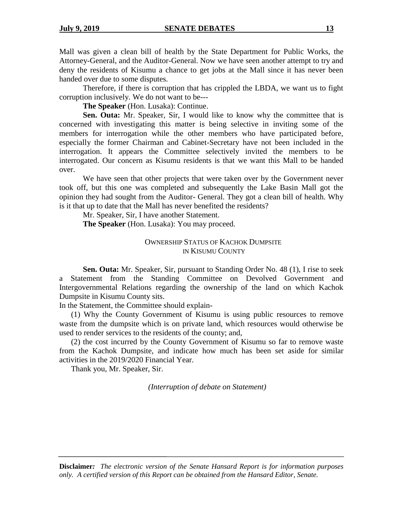Mall was given a clean bill of health by the State Department for Public Works, the Attorney-General, and the Auditor-General. Now we have seen another attempt to try and deny the residents of Kisumu a chance to get jobs at the Mall since it has never been handed over due to some disputes.

Therefore, if there is corruption that has crippled the LBDA, we want us to fight corruption inclusively. We do not want to be---

**The Speaker** (Hon. Lusaka): Continue.

**Sen. Outa:** Mr. Speaker, Sir, I would like to know why the committee that is concerned with investigating this matter is being selective in inviting some of the members for interrogation while the other members who have participated before, especially the former Chairman and Cabinet-Secretary have not been included in the interrogation. It appears the Committee selectively invited the members to be interrogated. Our concern as Kisumu residents is that we want this Mall to be handed over.

We have seen that other projects that were taken over by the Government never took off, but this one was completed and subsequently the Lake Basin Mall got the opinion they had sought from the Auditor- General. They got a clean bill of health. Why is it that up to date that the Mall has never benefited the residents?

Mr. Speaker, Sir, I have another Statement. **The Speaker** (Hon. Lusaka): You may proceed.

## OWNERSHIP STATUS OF KACHOK DUMPSITE IN KISUMU COUNTY

**Sen. Outa:** Mr. Speaker, Sir, pursuant to Standing Order No. 48 (1), I rise to seek a Statement from the Standing Committee on Devolved Government and Intergovernmental Relations regarding the ownership of the land on which Kachok Dumpsite in Kisumu County sits.

In the Statement, the Committee should explain-

(1) Why the County Government of Kisumu is using public resources to remove waste from the dumpsite which is on private land, which resources would otherwise be used to render services to the residents of the county; and,

(2) the cost incurred by the County Government of Kisumu so far to remove waste from the Kachok Dumpsite, and indicate how much has been set aside for similar activities in the 2019/2020 Financial Year.

Thank you, Mr. Speaker, Sir.

*(Interruption of debate on Statement)*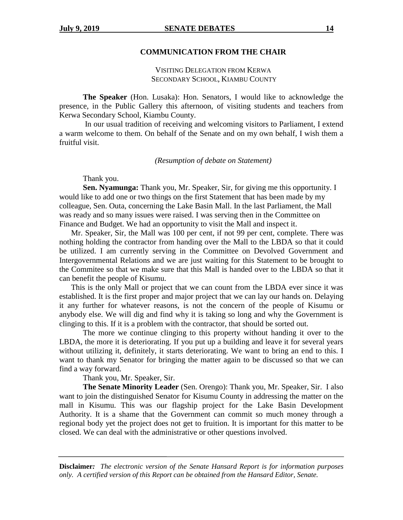#### **COMMUNICATION FROM THE CHAIR**

## VISITING DELEGATION FROM KERWA SECONDARY SCHOOL, KIAMBU COUNTY

**The Speaker** (Hon. Lusaka): Hon. Senators, I would like to acknowledge the presence, in the Public Gallery this afternoon, of visiting students and teachers from Kerwa Secondary School, Kiambu County.

In our usual tradition of receiving and welcoming visitors to Parliament, I extend a warm welcome to them. On behalf of the Senate and on my own behalf, I wish them a fruitful visit.

*(Resumption of debate on Statement)*

Thank you.

**Sen. Nyamunga:** Thank you, Mr. Speaker, Sir, for giving me this opportunity. I would like to add one or two things on the first Statement that has been made by my colleague, Sen. Outa, concerning the Lake Basin Mall. In the last Parliament, the Mall was ready and so many issues were raised. I was serving then in the Committee on Finance and Budget. We had an opportunity to visit the Mall and inspect it.

Mr. Speaker, Sir, the Mall was 100 per cent, if not 99 per cent, complete. There was nothing holding the contractor from handing over the Mall to the LBDA so that it could be utilized. I am currently serving in the Committee on Devolved Government and Intergovernmental Relations and we are just waiting for this Statement to be brought to the Commitee so that we make sure that this Mall is handed over to the LBDA so that it can benefit the people of Kisumu.

This is the only Mall or project that we can count from the LBDA ever since it was established. It is the first proper and major project that we can lay our hands on. Delaying it any further for whatever reasons, is not the concern of the people of Kisumu or anybody else. We will dig and find why it is taking so long and why the Government is clinging to this. If it is a problem with the contractor, that should be sorted out.

The more we continue clinging to this property without handing it over to the LBDA, the more it is deteriorating. If you put up a building and leave it for several years without utilizing it, definitely, it starts deteriorating. We want to bring an end to this. I want to thank my Senator for bringing the matter again to be discussed so that we can find a way forward.

Thank you, Mr. Speaker, Sir.

**The Senate Minority Leader** (Sen. Orengo): Thank you, Mr. Speaker, Sir. I also want to join the distinguished Senator for Kisumu County in addressing the matter on the mall in Kisumu. This was our flagship project for the Lake Basin Development Authority. It is a shame that the Government can commit so much money through a regional body yet the project does not get to fruition. It is important for this matter to be closed. We can deal with the administrative or other questions involved.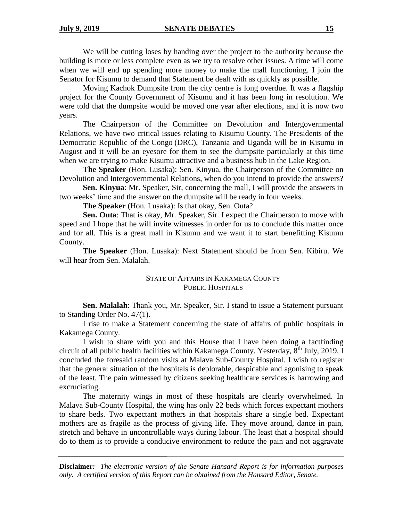We will be cutting loses by handing over the project to the authority because the building is more or less complete even as we try to resolve other issues. A time will come when we will end up spending more money to make the mall functioning. I join the Senator for Kisumu to demand that Statement be dealt with as quickly as possible.

Moving Kachok Dumpsite from the city centre is long overdue. It was a flagship project for the County Government of Kisumu and it has been long in resolution. We were told that the dumpsite would be moved one year after elections, and it is now two years.

The Chairperson of the Committee on Devolution and Intergovernmental Relations, we have two critical issues relating to Kisumu County. The Presidents of the Democratic Republic of the Congo (DRC), Tanzania and Uganda will be in Kisumu in August and it will be an eyesore for them to see the dumpsite particularly at this time when we are trying to make Kisumu attractive and a business hub in the Lake Region.

**The Speaker** (Hon. Lusaka): Sen. Kinyua, the Chairperson of the Committee on Devolution and Intergovernmental Relations, when do you intend to provide the answers?

**Sen. Kinyua**: Mr. Speaker, Sir, concerning the mall, I will provide the answers in two weeks' time and the answer on the dumpsite will be ready in four weeks.

**The Speaker** (Hon. Lusaka): Is that okay, Sen. Outa?

**Sen. Outa**: That is okay, Mr. Speaker, Sir. I expect the Chairperson to move with speed and I hope that he will invite witnesses in order for us to conclude this matter once and for all. This is a great mall in Kisumu and we want it to start benefitting Kisumu County.

**The Speaker** (Hon. Lusaka): Next Statement should be from Sen. Kibiru. We will hear from Sen. Malalah.

## STATE OF AFFAIRS IN KAKAMEGA COUNTY PUBLIC HOSPITALS

**Sen. Malalah**: Thank you, Mr. Speaker, Sir. I stand to issue a Statement pursuant to Standing Order No. 47(1).

I rise to make a Statement concerning the state of affairs of public hospitals in Kakamega County.

I wish to share with you and this House that I have been doing a factfinding circuit of all public health facilities within Kakamega County. Yesterday, 8<sup>th</sup> July, 2019, I concluded the foresaid random visits at Malava Sub-County Hospital. I wish to register that the general situation of the hospitals is deplorable, despicable and agonising to speak of the least. The pain witnessed by citizens seeking healthcare services is harrowing and excruciating.

The maternity wings in most of these hospitals are clearly overwhelmed. In Malava Sub-County Hospital, the wing has only 22 beds which forces expectant mothers to share beds. Two expectant mothers in that hospitals share a single bed. Expectant mothers are as fragile as the process of giving life. They move around, dance in pain, stretch and behave in uncontrollable ways during labour. The least that a hospital should do to them is to provide a conducive environment to reduce the pain and not aggravate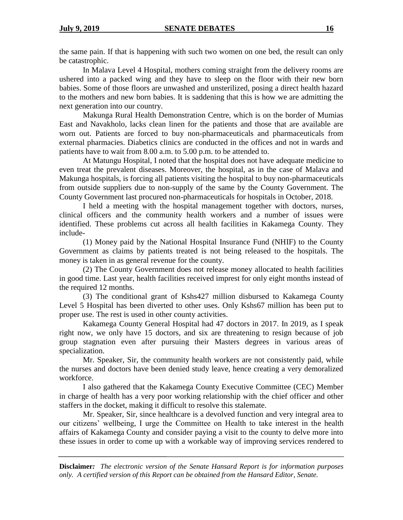the same pain. If that is happening with such two women on one bed, the result can only be catastrophic.

In Malava Level 4 Hospital, mothers coming straight from the delivery rooms are ushered into a packed wing and they have to sleep on the floor with their new born babies. Some of those floors are unwashed and unsterilized, posing a direct health hazard to the mothers and new born babies. It is saddening that this is how we are admitting the next generation into our country.

Makunga Rural Health Demonstration Centre, which is on the border of Mumias East and Navakholo, lacks clean linen for the patients and those that are available are worn out. Patients are forced to buy non-pharmaceuticals and pharmaceuticals from external pharmacies. Diabetics clinics are conducted in the offices and not in wards and patients have to wait from 8.00 a.m. to 5.00 p.m. to be attended to.

At Matungu Hospital, I noted that the hospital does not have adequate medicine to even treat the prevalent diseases. Moreover, the hospital, as in the case of Malava and Makunga hospitals, is forcing all patients visiting the hospital to buy non-pharmaceuticals from outside suppliers due to non-supply of the same by the County Government. The County Government last procured non-pharmaceuticals for hospitals in October, 2018.

I held a meeting with the hospital management together with doctors, nurses, clinical officers and the community health workers and a number of issues were identified. These problems cut across all health facilities in Kakamega County. They include-

(1) Money paid by the National Hospital Insurance Fund (NHIF) to the County Government as claims by patients treated is not being released to the hospitals. The money is taken in as general revenue for the county.

(2) The County Government does not release money allocated to health facilities in good time. Last year, health facilities received imprest for only eight months instead of the required 12 months.

(3) The conditional grant of Kshs427 million disbursed to Kakamega County Level 5 Hospital has been diverted to other uses. Only Kshs67 million has been put to proper use. The rest is used in other county activities.

Kakamega County General Hospital had 47 doctors in 2017. In 2019, as I speak right now, we only have 15 doctors, and six are threatening to resign because of job group stagnation even after pursuing their Masters degrees in various areas of specialization.

Mr. Speaker, Sir, the community health workers are not consistently paid, while the nurses and doctors have been denied study leave, hence creating a very demoralized workforce.

I also gathered that the Kakamega County Executive Committee (CEC) Member in charge of health has a very poor working relationship with the chief officer and other staffers in the docket, making it difficult to resolve this stalemate.

Mr. Speaker, Sir, since healthcare is a devolved function and very integral area to our citizens' wellbeing, I urge the Committee on Health to take interest in the health affairs of Kakamega County and consider paying a visit to the county to delve more into these issues in order to come up with a workable way of improving services rendered to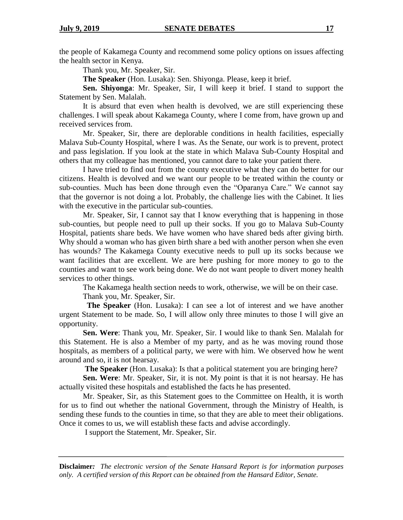the people of Kakamega County and recommend some policy options on issues affecting the health sector in Kenya.

Thank you, Mr. Speaker, Sir.

**The Speaker** (Hon. Lusaka): Sen. Shiyonga. Please, keep it brief.

**Sen. Shiyonga**: Mr. Speaker, Sir, I will keep it brief. I stand to support the Statement by Sen. Malalah.

It is absurd that even when health is devolved, we are still experiencing these challenges. I will speak about Kakamega County, where I come from, have grown up and received services from.

Mr. Speaker, Sir, there are deplorable conditions in health facilities, especially Malava Sub-County Hospital, where I was. As the Senate, our work is to prevent, protect and pass legislation. If you look at the state in which Malava Sub-County Hospital and others that my colleague has mentioned, you cannot dare to take your patient there.

I have tried to find out from the county executive what they can do better for our citizens. Health is devolved and we want our people to be treated within the county or sub-counties. Much has been done through even the "Oparanya Care." We cannot say that the governor is not doing a lot. Probably, the challenge lies with the Cabinet. It lies with the executive in the particular sub-counties.

Mr. Speaker, Sir, I cannot say that I know everything that is happening in those sub-counties, but people need to pull up their socks. If you go to Malava Sub-County Hospital, patients share beds. We have women who have shared beds after giving birth. Why should a woman who has given birth share a bed with another person when she even has wounds? The Kakamega County executive needs to pull up its socks because we want facilities that are excellent. We are here pushing for more money to go to the counties and want to see work being done. We do not want people to divert money health services to other things.

The Kakamega health section needs to work, otherwise, we will be on their case.

Thank you, Mr. Speaker, Sir.

 **The Speaker** (Hon. Lusaka): I can see a lot of interest and we have another urgent Statement to be made. So, I will allow only three minutes to those I will give an opportunity.

**Sen. Were**: Thank you, Mr. Speaker, Sir. I would like to thank Sen. Malalah for this Statement. He is also a Member of my party, and as he was moving round those hospitals, as members of a political party, we were with him. We observed how he went around and so, it is not hearsay.

**The Speaker** (Hon. Lusaka): Is that a political statement you are bringing here?

**Sen. Were**: Mr. Speaker, Sir, it is not. My point is that it is not hearsay. He has actually visited these hospitals and established the facts he has presented.

Mr. Speaker, Sir, as this Statement goes to the Committee on Health, it is worth for us to find out whether the national Government, through the Ministry of Health, is sending these funds to the counties in time, so that they are able to meet their obligations. Once it comes to us, we will establish these facts and advise accordingly.

I support the Statement, Mr. Speaker, Sir.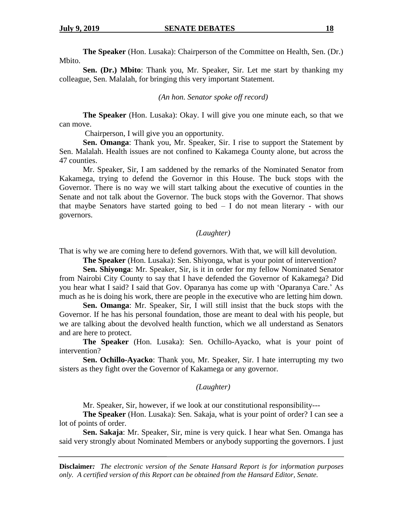**The Speaker** (Hon. Lusaka): Chairperson of the Committee on Health, Sen. (Dr.) Mbito.

**Sen. (Dr.) Mbito**: Thank you, Mr. Speaker, Sir. Let me start by thanking my colleague, Sen. Malalah, for bringing this very important Statement.

#### *(An hon. Senator spoke off record)*

**The Speaker** (Hon. Lusaka): Okay. I will give you one minute each, so that we can move.

Chairperson, I will give you an opportunity.

**Sen. Omanga**: Thank you, Mr. Speaker, Sir. I rise to support the Statement by Sen. Malalah. Health issues are not confined to Kakamega County alone, but across the 47 counties.

Mr. Speaker, Sir, I am saddened by the remarks of the Nominated Senator from Kakamega, trying to defend the Governor in this House. The buck stops with the Governor. There is no way we will start talking about the executive of counties in the Senate and not talk about the Governor. The buck stops with the Governor. That shows that maybe Senators have started going to bed  $- I$  do not mean literary - with our governors.

## *(Laughter)*

That is why we are coming here to defend governors. With that, we will kill devolution.

**The Speaker** (Hon. Lusaka): Sen. Shiyonga, what is your point of intervention?

**Sen. Shiyonga**: Mr. Speaker, Sir, is it in order for my fellow Nominated Senator from Nairobi City County to say that I have defended the Governor of Kakamega? Did you hear what I said? I said that Gov. Oparanya has come up with 'Oparanya Care.' As much as he is doing his work, there are people in the executive who are letting him down.

**Sen. Omanga**: Mr. Speaker, Sir, I will still insist that the buck stops with the Governor. If he has his personal foundation, those are meant to deal with his people, but we are talking about the devolved health function, which we all understand as Senators and are here to protect.

**The Speaker** (Hon. Lusaka): Sen. Ochillo-Ayacko, what is your point of intervention?

**Sen. Ochillo-Ayacko**: Thank you, Mr. Speaker, Sir. I hate interrupting my two sisters as they fight over the Governor of Kakamega or any governor.

#### *(Laughter)*

Mr. Speaker, Sir, however, if we look at our constitutional responsibility---

**The Speaker** (Hon. Lusaka): Sen. Sakaja, what is your point of order? I can see a lot of points of order.

**Sen. Sakaja**: Mr. Speaker, Sir, mine is very quick. I hear what Sen. Omanga has said very strongly about Nominated Members or anybody supporting the governors. I just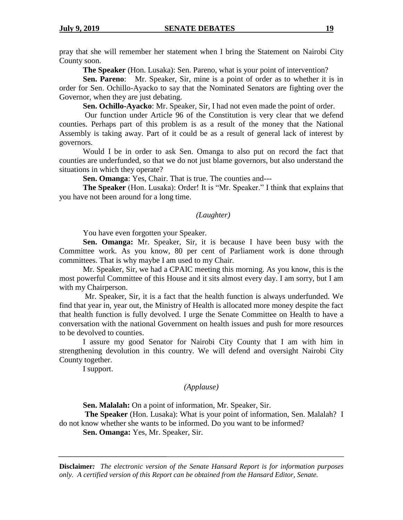pray that she will remember her statement when I bring the Statement on Nairobi City County soon.

**The Speaker** (Hon. Lusaka): Sen. Pareno, what is your point of intervention?

**Sen. Pareno**: Mr. Speaker, Sir, mine is a point of order as to whether it is in order for Sen. Ochillo-Ayacko to say that the Nominated Senators are fighting over the Governor, when they are just debating.

**Sen. Ochillo-Ayacko**: Mr. Speaker, Sir, I had not even made the point of order.

Our function under Article 96 of the Constitution is very clear that we defend counties. Perhaps part of this problem is as a result of the money that the National Assembly is taking away. Part of it could be as a result of general lack of interest by governors.

Would I be in order to ask Sen. Omanga to also put on record the fact that counties are underfunded, so that we do not just blame governors, but also understand the situations in which they operate?

**Sen. Omanga**: Yes, Chair. That is true. The counties and---

**The Speaker** (Hon. Lusaka): Order! It is "Mr. Speaker." I think that explains that you have not been around for a long time.

## *(Laughter)*

You have even forgotten your Speaker.

**Sen. Omanga:** Mr. Speaker, Sir, it is because I have been busy with the Committee work. As you know, 80 per cent of Parliament work is done through committees. That is why maybe I am used to my Chair.

Mr. Speaker, Sir, we had a CPAIC meeting this morning. As you know, this is the most powerful Committee of this House and it sits almost every day. I am sorry, but I am with my Chairperson.

Mr. Speaker, Sir, it is a fact that the health function is always underfunded. We find that year in, year out, the Ministry of Health is allocated more money despite the fact that health function is fully devolved. I urge the Senate Committee on Health to have a conversation with the national Government on health issues and push for more resources to be devolved to counties.

I assure my good Senator for Nairobi City County that I am with him in strengthening devolution in this country. We will defend and oversight Nairobi City County together.

I support.

## *(Applause)*

**Sen. Malalah:** On a point of information, Mr. Speaker, Sir.

**The Speaker** (Hon. Lusaka): What is your point of information, Sen. Malalah? I do not know whether she wants to be informed. Do you want to be informed?

**Sen. Omanga:** Yes, Mr. Speaker, Sir.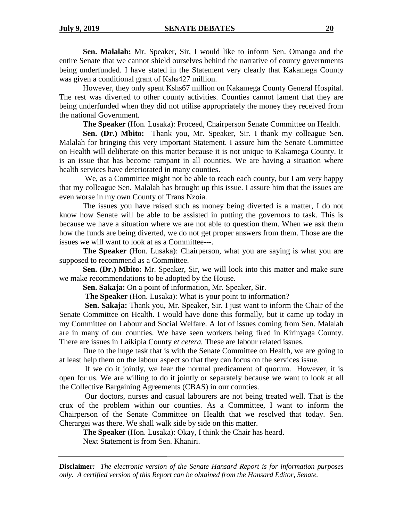**Sen. Malalah:** Mr. Speaker, Sir, I would like to inform Sen. Omanga and the entire Senate that we cannot shield ourselves behind the narrative of county governments being underfunded. I have stated in the Statement very clearly that Kakamega County was given a conditional grant of Kshs427 million.

However, they only spent Kshs67 million on Kakamega County General Hospital. The rest was diverted to other county activities. Counties cannot lament that they are being underfunded when they did not utilise appropriately the money they received from the national Government.

**The Speaker** (Hon. Lusaka): Proceed, Chairperson Senate Committee on Health.

**Sen. (Dr.) Mbito:** Thank you, Mr. Speaker, Sir. I thank my colleague Sen. Malalah for bringing this very important Statement. I assure him the Senate Committee on Health will deliberate on this matter because it is not unique to Kakamega County. It is an issue that has become rampant in all counties. We are having a situation where health services have deteriorated in many counties.

We, as a Committee might not be able to reach each county, but I am very happy that my colleague Sen. Malalah has brought up this issue. I assure him that the issues are even worse in my own County of Trans Nzoia.

The issues you have raised such as money being diverted is a matter, I do not know how Senate will be able to be assisted in putting the governors to task. This is because we have a situation where we are not able to question them. When we ask them how the funds are being diverted, we do not get proper answers from them. Those are the issues we will want to look at as a Committee---.

**The Speaker** (Hon. Lusaka): Chairperson, what you are saying is what you are supposed to recommend as a Committee.

**Sen. (Dr.) Mbito:** Mr. Speaker, Sir, we will look into this matter and make sure we make recommendations to be adopted by the House.

**Sen. Sakaja:** On a point of information, Mr. Speaker, Sir.

**The Speaker** (Hon. Lusaka): What is your point to information?

**Sen. Sakaja:** Thank you, Mr. Speaker, Sir. I just want to inform the Chair of the Senate Committee on Health. I would have done this formally, but it came up today in my Committee on Labour and Social Welfare. A lot of issues coming from Sen. Malalah are in many of our counties. We have seen workers being fired in Kirinyaga County. There are issues in Laikipia County *et cetera.* These are labour related issues.

Due to the huge task that is with the Senate Committee on Health, we are going to at least help them on the labour aspect so that they can focus on the services issue.

If we do it jointly, we fear the normal predicament of quorum. However, it is open for us. We are willing to do it jointly or separately because we want to look at all the Collective Bargaining Agreements (CBAS) in our counties.

Our doctors, nurses and casual labourers are not being treated well. That is the crux of the problem within our counties. As a Committee, I want to inform the Chairperson of the Senate Committee on Health that we resolved that today. Sen. Cherargei was there. We shall walk side by side on this matter.

**The Speaker** (Hon. Lusaka): Okay, I think the Chair has heard.

Next Statement is from Sen. Khaniri.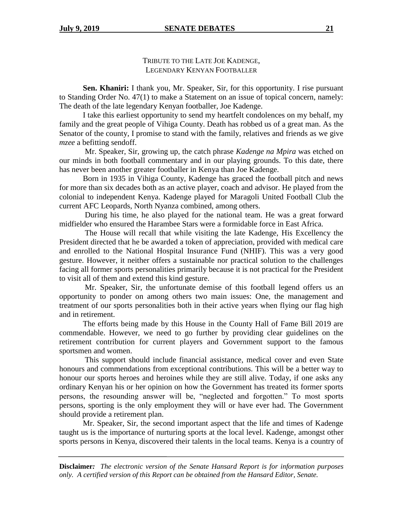## TRIBUTE TO THE LATE JOE KADENGE, LEGENDARY KENYAN FOOTBALLER

**Sen. Khaniri:** I thank you, Mr. Speaker, Sir, for this opportunity. I rise pursuant to Standing Order No. 47(1) to make a Statement on an issue of topical concern, namely: The death of the late legendary Kenyan footballer, Joe Kadenge.

I take this earliest opportunity to send my heartfelt condolences on my behalf, my family and the great people of Vihiga County. Death has robbed us of a great man. As the Senator of the county, I promise to stand with the family, relatives and friends as we give *mzee* a befitting sendoff.

Mr. Speaker, Sir, growing up, the catch phrase *Kadenge na Mpira* was etched on our minds in both football commentary and in our playing grounds. To this date, there has never been another greater footballer in Kenya than Joe Kadenge.

Born in 1935 in Vihiga County, Kadenge has graced the football pitch and news for more than six decades both as an active player, coach and advisor. He played from the colonial to independent Kenya. Kadenge played for Maragoli United Football Club the current AFC Leopards, North Nyanza combined, among others.

During his time, he also played for the national team. He was a great forward midfielder who ensured the Harambee Stars were a formidable force in East Africa.

The House will recall that while visiting the late Kadenge, His Excellency the President directed that he be awarded a token of appreciation, provided with medical care and enrolled to the National Hospital Insurance Fund (NHIF). This was a very good gesture. However, it neither offers a sustainable nor practical solution to the challenges facing all former sports personalities primarily because it is not practical for the President to visit all of them and extend this kind gesture.

Mr. Speaker, Sir, the unfortunate demise of this football legend offers us an opportunity to ponder on among others two main issues: One, the management and treatment of our sports personalities both in their active years when flying our flag high and in retirement.

The efforts being made by this House in the County Hall of Fame Bill 2019 are commendable. However, we need to go further by providing clear guidelines on the retirement contribution for current players and Government support to the famous sportsmen and women.

This support should include financial assistance, medical cover and even State honours and commendations from exceptional contributions. This will be a better way to honour our sports heroes and heroines while they are still alive. Today, if one asks any ordinary Kenyan his or her opinion on how the Government has treated its former sports persons, the resounding answer will be, "neglected and forgotten." To most sports persons, sporting is the only employment they will or have ever had. The Government should provide a retirement plan.

Mr. Speaker, Sir, the second important aspect that the life and times of Kadenge taught us is the importance of nurturing sports at the local level. Kadenge, amongst other sports persons in Kenya, discovered their talents in the local teams. Kenya is a country of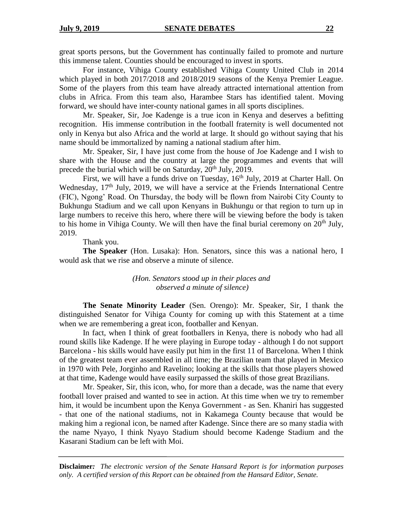great sports persons, but the Government has continually failed to promote and nurture this immense talent. Counties should be encouraged to invest in sports.

For instance, Vihiga County established Vihiga County United Club in 2014 which played in both 2017/2018 and 2018/2019 seasons of the Kenya Premier League. Some of the players from this team have already attracted international attention from clubs in Africa. From this team also, Harambee Stars has identified talent. Moving forward, we should have inter-county national games in all sports disciplines.

Mr. Speaker, Sir, Joe Kadenge is a true icon in Kenya and deserves a befitting recognition. His immense contribution in the football fraternity is well documented not only in Kenya but also Africa and the world at large. It should go without saying that his name should be immortalized by naming a national stadium after him.

Mr. Speaker, Sir, I have just come from the house of Joe Kadenge and I wish to share with the House and the country at large the programmes and events that will precede the burial which will be on Saturday,  $20<sup>th</sup>$  July,  $2019$ .

First, we will have a funds drive on Tuesday,  $16<sup>th</sup>$  July, 2019 at Charter Hall. On Wednesday,  $17<sup>th</sup>$  July, 2019, we will have a service at the Friends International Centre (FIC), Ngong' Road. On Thursday, the body will be flown from Nairobi City County to Bukhungu Stadium and we call upon Kenyans in Bukhungu or that region to turn up in large numbers to receive this hero, where there will be viewing before the body is taken to his home in Vihiga County. We will then have the final burial ceremony on  $20<sup>th</sup>$  July, 2019.

Thank you.

**The Speaker** (Hon. Lusaka): Hon. Senators, since this was a national hero, I would ask that we rise and observe a minute of silence.

## *(Hon. Senators stood up in their places and observed a minute of silence)*

**The Senate Minority Leader** (Sen. Orengo): Mr. Speaker, Sir, I thank the distinguished Senator for Vihiga County for coming up with this Statement at a time when we are remembering a great icon, footballer and Kenyan.

In fact, when I think of great footballers in Kenya, there is nobody who had all round skills like Kadenge. If he were playing in Europe today - although I do not support Barcelona - his skills would have easily put him in the first 11 of Barcelona. When I think of the greatest team ever assembled in all time; the Brazilian team that played in Mexico in 1970 with Pele, Jorginho and Ravelino; looking at the skills that those players showed at that time, Kadenge would have easily surpassed the skills of those great Brazilians.

Mr. Speaker, Sir, this icon, who, for more than a decade, was the name that every football lover praised and wanted to see in action. At this time when we try to remember him, it would be incumbent upon the Kenya Government - as Sen. Khaniri has suggested - that one of the national stadiums, not in Kakamega County because that would be making him a regional icon, be named after Kadenge. Since there are so many stadia with the name Nyayo, I think Nyayo Stadium should become Kadenge Stadium and the Kasarani Stadium can be left with Moi.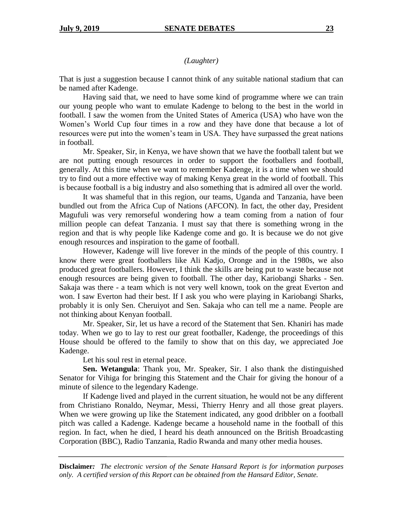## *(Laughter)*

That is just a suggestion because I cannot think of any suitable national stadium that can be named after Kadenge.

Having said that, we need to have some kind of programme where we can train our young people who want to emulate Kadenge to belong to the best in the world in football. I saw the women from the United States of America (USA) who have won the Women's World Cup four times in a row and they have done that because a lot of resources were put into the women's team in USA. They have surpassed the great nations in football.

Mr. Speaker, Sir, in Kenya, we have shown that we have the football talent but we are not putting enough resources in order to support the footballers and football, generally. At this time when we want to remember Kadenge, it is a time when we should try to find out a more effective way of making Kenya great in the world of football. This is because football is a big industry and also something that is admired all over the world.

It was shameful that in this region, our teams, Uganda and Tanzania, have been bundled out from the Africa Cup of Nations (AFCON). In fact, the other day, President Magufuli was very remorseful wondering how a team coming from a nation of four million people can defeat Tanzania. I must say that there is something wrong in the region and that is why people like Kadenge come and go. It is because we do not give enough resources and inspiration to the game of football.

However, Kadenge will live forever in the minds of the people of this country. I know there were great footballers like Ali Kadjo, Oronge and in the 1980s, we also produced great footballers. However, I think the skills are being put to waste because not enough resources are being given to football. The other day, Kariobangi Sharks - Sen. Sakaja was there - a team which is not very well known, took on the great Everton and won. I saw Everton had their best. If I ask you who were playing in Kariobangi Sharks, probably it is only Sen. Cheruiyot and Sen. Sakaja who can tell me a name. People are not thinking about Kenyan football.

Mr. Speaker, Sir, let us have a record of the Statement that Sen. Khaniri has made today. When we go to lay to rest our great footballer, Kadenge, the proceedings of this House should be offered to the family to show that on this day, we appreciated Joe Kadenge.

Let his soul rest in eternal peace.

**Sen. Wetangula**: Thank you, Mr. Speaker, Sir. I also thank the distinguished Senator for Vihiga for bringing this Statement and the Chair for giving the honour of a minute of silence to the legendary Kadenge.

If Kadenge lived and played in the current situation, he would not be any different from Christiano Ronaldo, Neymar, Messi, Thierry Henry and all those great players. When we were growing up like the Statement indicated, any good dribbler on a football pitch was called a Kadenge. Kadenge became a household name in the football of this region. In fact, when he died, I heard his death announced on the British Broadcasting Corporation (BBC), Radio Tanzania, Radio Rwanda and many other media houses.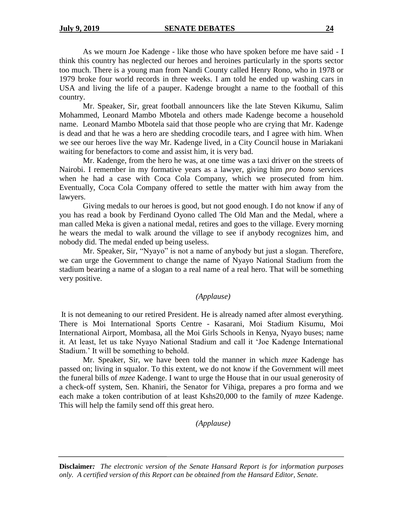As we mourn Joe Kadenge - like those who have spoken before me have said - I think this country has neglected our heroes and heroines particularly in the sports sector too much. There is a young man from Nandi County called Henry Rono, who in 1978 or 1979 broke four world records in three weeks. I am told he ended up washing cars in USA and living the life of a pauper. Kadenge brought a name to the football of this country.

Mr. Speaker, Sir, great football announcers like the late Steven Kikumu, Salim Mohammed, Leonard Mambo Mbotela and others made Kadenge become a household name. Leonard Mambo Mbotela said that those people who are crying that Mr. Kadenge is dead and that he was a hero are shedding crocodile tears, and I agree with him. When we see our heroes live the way Mr. Kadenge lived, in a City Council house in Mariakani waiting for benefactors to come and assist him, it is very bad.

Mr. Kadenge, from the hero he was, at one time was a taxi driver on the streets of Nairobi. I remember in my formative years as a lawyer, giving him *pro bono* services when he had a case with Coca Cola Company, which we prosecuted from him. Eventually, Coca Cola Company offered to settle the matter with him away from the lawyers.

Giving medals to our heroes is good, but not good enough. I do not know if any of you has read a book by Ferdinand Oyono called The Old Man and the Medal, where a man called Meka is given a national medal, retires and goes to the village. Every morning he wears the medal to walk around the village to see if anybody recognizes him, and nobody did. The medal ended up being useless.

Mr. Speaker, Sir, "Nyayo" is not a name of anybody but just a slogan. Therefore, we can urge the Government to change the name of Nyayo National Stadium from the stadium bearing a name of a slogan to a real name of a real hero. That will be something very positive.

## *(Applause)*

It is not demeaning to our retired President. He is already named after almost everything. There is Moi International Sports Centre - Kasarani, Moi Stadium Kisumu, Moi International Airport, Mombasa, all the Moi Girls Schools in Kenya, Nyayo buses; name it. At least, let us take Nyayo National Stadium and call it 'Joe Kadenge International Stadium.' It will be something to behold.

Mr. Speaker, Sir, we have been told the manner in which *mzee* Kadenge has passed on; living in squalor. To this extent, we do not know if the Government will meet the funeral bills of *mzee* Kadenge. I want to urge the House that in our usual generosity of a check-off system, Sen. Khaniri, the Senator for Vihiga, prepares a pro forma and we each make a token contribution of at least Kshs20,000 to the family of *mzee* Kadenge. This will help the family send off this great hero.

*(Applause)*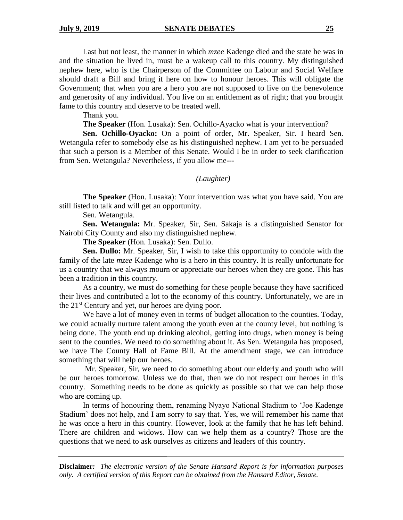#### **July 9, 2019 SENATE DEBATES** 25

Last but not least, the manner in which *mzee* Kadenge died and the state he was in and the situation he lived in, must be a wakeup call to this country. My distinguished nephew here, who is the Chairperson of the Committee on Labour and Social Welfare should draft a Bill and bring it here on how to honour heroes. This will obligate the Government; that when you are a hero you are not supposed to live on the benevolence and generosity of any individual. You live on an entitlement as of right; that you brought fame to this country and deserve to be treated well.

Thank you.

**The Speaker** (Hon. Lusaka): Sen. Ochillo-Ayacko what is your intervention?

**Sen. Ochillo-Oyacko:** On a point of order, Mr. Speaker, Sir. I heard Sen. Wetangula refer to somebody else as his distinguished nephew. I am yet to be persuaded that such a person is a Member of this Senate. Would I be in order to seek clarification from Sen. Wetangula? Nevertheless, if you allow me---

#### *(Laughter)*

**The Speaker** (Hon. Lusaka): Your intervention was what you have said. You are still listed to talk and will get an opportunity.

Sen. Wetangula.

**Sen. Wetangula:** Mr. Speaker, Sir, Sen. Sakaja is a distinguished Senator for Nairobi City County and also my distinguished nephew.

**The Speaker** (Hon. Lusaka): Sen. Dullo.

**Sen. Dullo:** Mr. Speaker, Sir, I wish to take this opportunity to condole with the family of the late *mzee* Kadenge who is a hero in this country. It is really unfortunate for us a country that we always mourn or appreciate our heroes when they are gone. This has been a tradition in this country.

As a country, we must do something for these people because they have sacrificed their lives and contributed a lot to the economy of this country. Unfortunately, we are in the 21st Century and yet, our heroes are dying poor.

We have a lot of money even in terms of budget allocation to the counties. Today, we could actually nurture talent among the youth even at the county level, but nothing is being done. The youth end up drinking alcohol, getting into drugs, when money is being sent to the counties. We need to do something about it. As Sen. Wetangula has proposed, we have The County Hall of Fame Bill. At the amendment stage, we can introduce something that will help our heroes.

Mr. Speaker, Sir, we need to do something about our elderly and youth who will be our heroes tomorrow. Unless we do that, then we do not respect our heroes in this country. Something needs to be done as quickly as possible so that we can help those who are coming up.

In terms of honouring them, renaming Nyayo National Stadium to 'Joe Kadenge Stadium' does not help, and I am sorry to say that. Yes, we will remember his name that he was once a hero in this country. However, look at the family that he has left behind. There are children and widows. How can we help them as a country? Those are the questions that we need to ask ourselves as citizens and leaders of this country.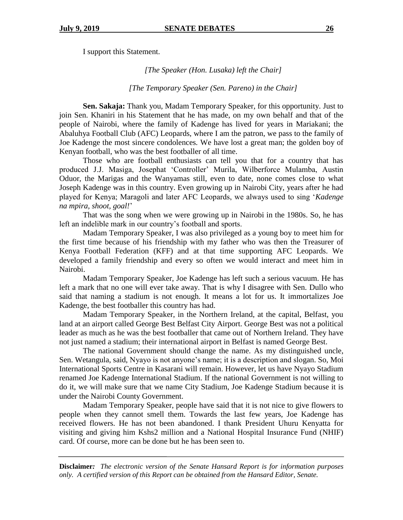I support this Statement.

*[The Speaker (Hon. Lusaka) left the Chair]*

*[The Temporary Speaker (Sen. Pareno) in the Chair]*

**Sen. Sakaja:** Thank you, Madam Temporary Speaker, for this opportunity. Just to join Sen. Khaniri in his Statement that he has made, on my own behalf and that of the people of Nairobi, where the family of Kadenge has lived for years in Mariakani; the Abaluhya Football Club (AFC) Leopards, where I am the patron, we pass to the family of Joe Kadenge the most sincere condolences*.* We have lost a great man; the golden boy of Kenyan football, who was the best footballer of all time.

Those who are football enthusiasts can tell you that for a country that has produced J.J. Masiga, Josephat 'Controller' Murila, Wilberforce Mulamba, Austin Oduor, the Marigas and the Wanyamas still, even to date, none comes close to what Joseph Kadenge was in this country. Even growing up in Nairobi City, years after he had played for Kenya; Maragoli and later AFC Leopards, we always used to sing '*Kadenge na mpira, shoot, goal!*'

That was the song when we were growing up in Nairobi in the 1980s. So, he has left an indelible mark in our country's football and sports.

Madam Temporary Speaker, I was also privileged as a young boy to meet him for the first time because of his friendship with my father who was then the Treasurer of Kenya Football Federation (KFF) and at that time supporting AFC Leopards. We developed a family friendship and every so often we would interact and meet him in Nairobi.

Madam Temporary Speaker, Joe Kadenge has left such a serious vacuum. He has left a mark that no one will ever take away. That is why I disagree with Sen. Dullo who said that naming a stadium is not enough. It means a lot for us. It immortalizes Joe Kadenge, the best footballer this country has had.

Madam Temporary Speaker, in the Northern Ireland, at the capital, Belfast, you land at an airport called George Best Belfast City Airport. George Best was not a political leader as much as he was the best footballer that came out of Northern Ireland. They have not just named a stadium; their international airport in Belfast is named George Best.

The national Government should change the name. As my distinguished uncle, Sen. Wetangula, said, Nyayo is not anyone's name; it is a description and slogan. So, Moi International Sports Centre in Kasarani will remain. However, let us have Nyayo Stadium renamed Joe Kadenge International Stadium. If the national Government is not willing to do it, we will make sure that we name City Stadium, Joe Kadenge Stadium because it is under the Nairobi County Government.

Madam Temporary Speaker, people have said that it is not nice to give flowers to people when they cannot smell them. Towards the last few years, Joe Kadenge has received flowers. He has not been abandoned. I thank President Uhuru Kenyatta for visiting and giving him Kshs2 million and a National Hospital Insurance Fund (NHIF) card. Of course, more can be done but he has been seen to.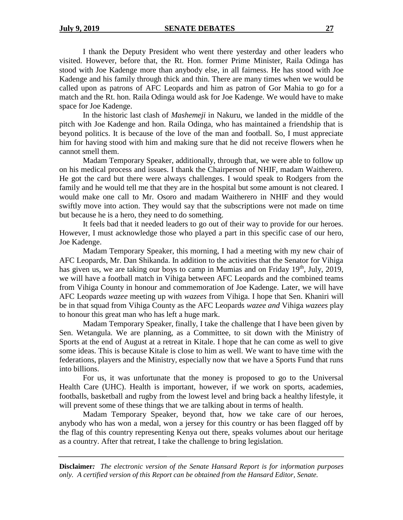I thank the Deputy President who went there yesterday and other leaders who visited. However, before that, the Rt. Hon. former Prime Minister, Raila Odinga has stood with Joe Kadenge more than anybody else, in all fairness. He has stood with Joe Kadenge and his family through thick and thin. There are many times when we would be called upon as patrons of AFC Leopards and him as patron of Gor Mahia to go for a match and the Rt. hon. Raila Odinga would ask for Joe Kadenge. We would have to make space for Joe Kadenge.

In the historic last clash of *Mashemeji* in Nakuru, we landed in the middle of the pitch with Joe Kadenge and hon. Raila Odinga, who has maintained a friendship that is beyond politics. It is because of the love of the man and football. So, I must appreciate him for having stood with him and making sure that he did not receive flowers when he cannot smell them.

Madam Temporary Speaker, additionally, through that, we were able to follow up on his medical process and issues. I thank the Chairperson of NHIF, madam Waitherero. He got the card but there were always challenges. I would speak to Rodgers from the family and he would tell me that they are in the hospital but some amount is not cleared. I would make one call to Mr. Osoro and madam Waitherero in NHIF and they would swiftly move into action. They would say that the subscriptions were not made on time but because he is a hero, they need to do something.

It feels bad that it needed leaders to go out of their way to provide for our heroes. However, I must acknowledge those who played a part in this specific case of our hero, Joe Kadenge.

Madam Temporary Speaker, this morning, I had a meeting with my new chair of AFC Leopards, Mr. Dan Shikanda. In addition to the activities that the Senator for Vihiga has given us, we are taking our boys to camp in Mumias and on Friday  $19<sup>th</sup>$ , July, 2019, we will have a football match in Vihiga between AFC Leopards and the combined teams from Vihiga County in honour and commemoration of Joe Kadenge. Later, we will have AFC Leopards *wazee* meeting up with *wazees* from Vihiga. I hope that Sen. Khaniri will be in that squad from Vihiga County as the AFC Leopards *wazee and* Vihiga *wazees* play to honour this great man who has left a huge mark.

Madam Temporary Speaker, finally, I take the challenge that I have been given by Sen. Wetangula. We are planning, as a Committee, to sit down with the Ministry of Sports at the end of August at a retreat in Kitale. I hope that he can come as well to give some ideas. This is because Kitale is close to him as well. We want to have time with the federations, players and the Ministry, especially now that we have a Sports Fund that runs into billions.

For us, it was unfortunate that the money is proposed to go to the Universal Health Care (UHC). Health is important, however, if we work on sports, academies, footballs, basketball and rugby from the lowest level and bring back a healthy lifestyle, it will prevent some of these things that we are talking about in terms of health.

Madam Temporary Speaker, beyond that, how we take care of our heroes, anybody who has won a medal, won a jersey for this country or has been flagged off by the flag of this country representing Kenya out there, speaks volumes about our heritage as a country. After that retreat, I take the challenge to bring legislation.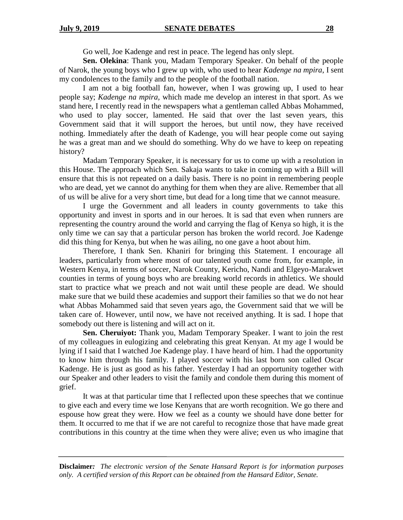Go well, Joe Kadenge and rest in peace. The legend has only slept.

**Sen. Olekina**: Thank you, Madam Temporary Speaker. On behalf of the people of Narok, the young boys who I grew up with, who used to hear *Kadenge na mpira*, I sent my condolences to the family and to the people of the football nation.

I am not a big football fan, however, when I was growing up, I used to hear people say; *Kadenge na mpira,* which made me develop an interest in that sport. As we stand here, I recently read in the newspapers what a gentleman called Abbas Mohammed, who used to play soccer, lamented. He said that over the last seven years, this Government said that it will support the heroes, but until now, they have received nothing. Immediately after the death of Kadenge, you will hear people come out saying he was a great man and we should do something. Why do we have to keep on repeating history?

Madam Temporary Speaker, it is necessary for us to come up with a resolution in this House. The approach which Sen. Sakaja wants to take in coming up with a Bill will ensure that this is not repeated on a daily basis. There is no point in remembering people who are dead, yet we cannot do anything for them when they are alive. Remember that all of us will be alive for a very short time, but dead for a long time that we cannot measure.

I urge the Government and all leaders in county governments to take this opportunity and invest in sports and in our heroes. It is sad that even when runners are representing the country around the world and carrying the flag of Kenya so high, it is the only time we can say that a particular person has broken the world record. Joe Kadenge did this thing for Kenya, but when he was ailing, no one gave a hoot about him.

Therefore, I thank Sen. Khaniri for bringing this Statement. I encourage all leaders, particularly from where most of our talented youth come from, for example, in Western Kenya, in terms of soccer, Narok County, Kericho, Nandi and Elgeyo-Marakwet counties in terms of young boys who are breaking world records in athletics. We should start to practice what we preach and not wait until these people are dead. We should make sure that we build these academies and support their families so that we do not hear what Abbas Mohammed said that seven years ago, the Government said that we will be taken care of. However, until now, we have not received anything. It is sad. I hope that somebody out there is listening and will act on it.

**Sen. Cheruiyot:** Thank you, Madam Temporary Speaker. I want to join the rest of my colleagues in eulogizing and celebrating this great Kenyan. At my age I would be lying if I said that I watched Joe Kadenge play. I have heard of him. I had the opportunity to know him through his family. I played soccer with his last born son called Oscar Kadenge. He is just as good as his father. Yesterday I had an opportunity together with our Speaker and other leaders to visit the family and condole them during this moment of grief.

It was at that particular time that I reflected upon these speeches that we continue to give each and every time we lose Kenyans that are worth recognition. We go there and espouse how great they were. How we feel as a county we should have done better for them. It occurred to me that if we are not careful to recognize those that have made great contributions in this country at the time when they were alive; even us who imagine that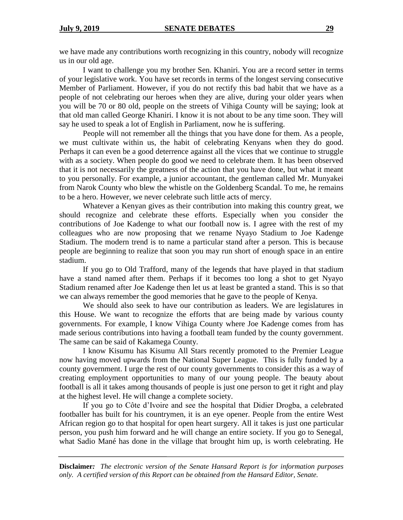we have made any contributions worth recognizing in this country, nobody will recognize us in our old age.

I want to challenge you my brother Sen. Khaniri. You are a record setter in terms of your legislative work. You have set records in terms of the longest serving consecutive Member of Parliament. However, if you do not rectify this bad habit that we have as a people of not celebrating our heroes when they are alive, during your older years when you will be 70 or 80 old, people on the streets of Vihiga County will be saying; look at that old man called George Khaniri. I know it is not about to be any time soon. They will say he used to speak a lot of English in Parliament, now he is suffering.

People will not remember all the things that you have done for them. As a people, we must cultivate within us, the habit of celebrating Kenyans when they do good. Perhaps it can even be a good deterrence against all the vices that we continue to struggle with as a society. When people do good we need to celebrate them. It has been observed that it is not necessarily the greatness of the action that you have done, but what it meant to you personally. For example, a junior accountant, the gentleman called Mr. Munyakei from Narok County who blew the whistle on the Goldenberg Scandal. To me, he remains to be a hero. However, we never celebrate such little acts of mercy.

Whatever a Kenyan gives as their contribution into making this country great, we should recognize and celebrate these efforts. Especially when you consider the contributions of Joe Kadenge to what our football now is. I agree with the rest of my colleagues who are now proposing that we rename Nyayo Stadium to Joe Kadenge Stadium. The modern trend is to name a particular stand after a person. This is because people are beginning to realize that soon you may run short of enough space in an entire stadium.

If you go to Old Trafford, many of the legends that have played in that stadium have a stand named after them. Perhaps if it becomes too long a shot to get Nyayo Stadium renamed after Joe Kadenge then let us at least be granted a stand. This is so that we can always remember the good memories that he gave to the people of Kenya.

We should also seek to have our contribution as leaders. We are legislatures in this House. We want to recognize the efforts that are being made by various county governments. For example, I know Vihiga County where Joe Kadenge comes from has made serious contributions into having a football team funded by the county government. The same can be said of Kakamega County.

I know Kisumu has Kisumu All Stars recently promoted to the Premier League now having moved upwards from the National Super League. This is fully funded by a county government. I urge the rest of our county governments to consider this as a way of creating employment opportunities to many of our young people. The beauty about football is all it takes among thousands of people is just one person to get it right and play at the highest level. He will change a complete society.

If you go to Côte d'Ivoire and see the hospital that Didier Drogba, a celebrated footballer has built for his countrymen, it is an eye opener. People from the entire West African region go to that hospital for open heart surgery. All it takes is just one particular person, you push him forward and he will change an entire society. If you go to Senegal, what Sadio Mané has done in the village that brought him up, is worth celebrating. He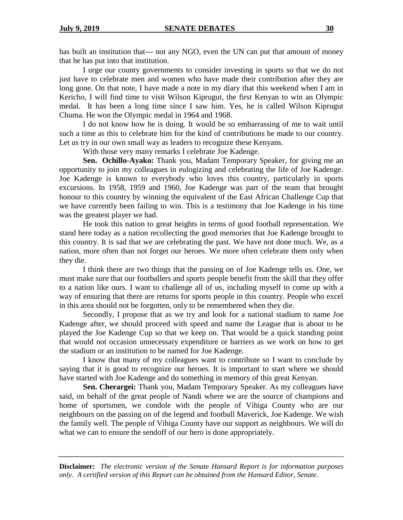has built an institution that--- not any NGO, even the UN can put that amount of money that he has put into that institution.

I urge our county governments to consider investing in sports so that we do not just have to celebrate men and women who have made their contribution after they are long gone. On that note, I have made a note in my diary that this weekend when I am in Kericho, I will find time to visit Wilson Kiprugut, the first Kenyan to win an Olympic medal. It has been a long time since I saw him. Yes, he is called Wilson Kiprugut Chuma. He won the Olympic medal in 1964 and 1968.

I do not know how he is doing. It would be so embarrassing of me to wait until such a time as this to celebrate him for the kind of contributions he made to our country. Let us try in our own small way as leaders to recognize these Kenyans.

With those very many remarks I celebrate Joe Kadenge.

**Sen. Ochillo-Ayako:** Thank you, Madam Temporary Speaker, for giving me an opportunity to join my colleagues in eulogizing and celebrating the life of Joe Kadenge. Joe Kadenge is known to everybody who loves this country, particularly in sports excursions. In 1958, 1959 and 1960, Joe Kadenge was part of the team that brought honour to this country by winning the equivalent of the East African Challenge Cup that we have currently been failing to win. This is a testimony that Joe Kadenge in his time was the greatest player we had.

He took this nation to great heights in terms of good football representation. We stand here today as a nation recollecting the good memories that Joe Kadenge brought to this country. It is sad that we are celebrating the past. We have not done much. We, as a nation, more often than not forget our heroes. We more often celebrate them only when they die.

I think there are two things that the passing on of Joe Kadenge tells us. One, we must make sure that our footballers and sports people benefit from the skill that they offer to a nation like ours. I want to challenge all of us, including myself to come up with a way of ensuring that there are returns for sports people in this country. People who excel in this area should not be forgotten, only to be remembered when they die.

Secondly, I propose that as we try and look for a national stadium to name Joe Kadenge after, we should proceed with speed and name the League that is about to be played the Joe Kadenge Cup so that we keep on. That would be a quick standing point that would not occasion unnecessary expenditure or barriers as we work on how to get the stadium or an institution to be named for Joe Kadenge.

I know that many of my colleagues want to contribute so I want to conclude by saying that it is good to recognize our heroes. It is important to start where we should have started with Joe Kadenge and do something in memory of this great Kenyan.

**Sen. Cherargei:** Thank you, Madam Temporary Speaker. As my colleagues have said, on behalf of the great people of Nandi where we are the source of champions and home of sportsmen, we condole with the people of Vihiga County who are our neighbours on the passing on of the legend and football Maverick, Joe Kadenge. We wish the family well. The people of Vihiga County have our support as neighbours. We will do what we can to ensure the sendoff of our hero is done appropriately.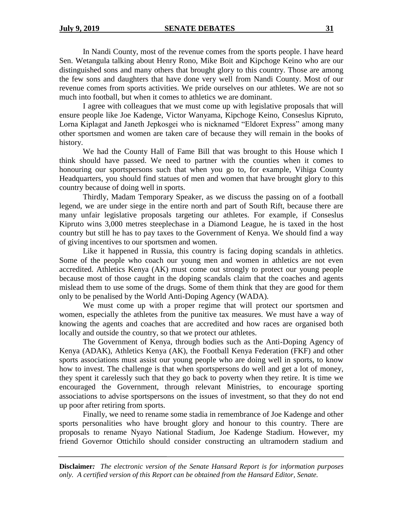In Nandi County, most of the revenue comes from the sports people. I have heard Sen. Wetangula talking about Henry Rono, Mike Boit and Kipchoge Keino who are our distinguished sons and many others that brought glory to this country. Those are among the few sons and daughters that have done very well from Nandi County. Most of our revenue comes from sports activities. We pride ourselves on our athletes. We are not so much into football, but when it comes to athletics we are dominant.

I agree with colleagues that we must come up with legislative proposals that will ensure people like Joe Kadenge, Victor Wanyama, Kipchoge Keino, Conseslus Kipruto, Lorna Kiplagat and Janeth Jepkosgei who is nicknamed "Eldoret Express" among many other sportsmen and women are taken care of because they will remain in the books of history.

We had the County Hall of Fame Bill that was brought to this House which I think should have passed. We need to partner with the counties when it comes to honouring our sportspersons such that when you go to, for example, Vihiga County Headquarters, you should find statues of men and women that have brought glory to this country because of doing well in sports.

Thirdly, Madam Temporary Speaker, as we discuss the passing on of a football legend, we are under siege in the entire north and part of South Rift, because there are many unfair legislative proposals targeting our athletes. For example, if Conseslus Kipruto wins 3,000 metres steeplechase in a Diamond League, he is taxed in the host country but still he has to pay taxes to the Government of Kenya. We should find a way of giving incentives to our sportsmen and women.

Like it happened in Russia, this country is facing doping scandals in athletics. Some of the people who coach our young men and women in athletics are not even accredited. Athletics Kenya (AK) must come out strongly to protect our young people because most of those caught in the doping scandals claim that the coaches and agents mislead them to use some of the drugs. Some of them think that they are good for them only to be penalised by the World Anti-Doping Agency (WADA).

We must come up with a proper regime that will protect our sportsmen and women, especially the athletes from the punitive tax measures. We must have a way of knowing the agents and coaches that are accredited and how races are organised both locally and outside the country, so that we protect our athletes.

The Government of Kenya, through bodies such as the Anti-Doping Agency of Kenya (ADAK), Athletics Kenya (AK), the Football Kenya Federation (FKF) and other sports associations must assist our young people who are doing well in sports, to know how to invest. The challenge is that when sportspersons do well and get a lot of money, they spent it carelessly such that they go back to poverty when they retire. It is time we encouraged the Government, through relevant Ministries, to encourage sporting associations to advise sportspersons on the issues of investment, so that they do not end up poor after retiring from sports.

Finally, we need to rename some stadia in remembrance of Joe Kadenge and other sports personalities who have brought glory and honour to this country. There are proposals to rename Nyayo National Stadium, Joe Kadenge Stadium. However, my friend Governor Ottichilo should consider constructing an ultramodern stadium and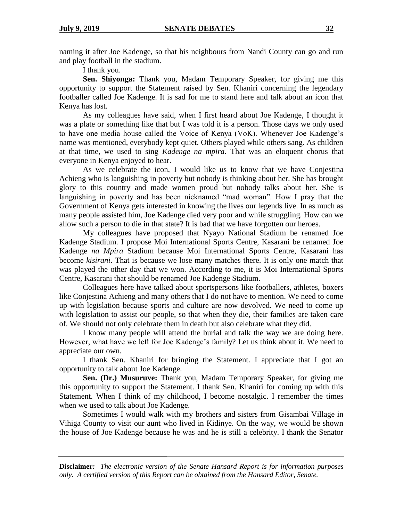naming it after Joe Kadenge, so that his neighbours from Nandi County can go and run and play football in the stadium.

I thank you.

**Sen. Shiyonga:** Thank you, Madam Temporary Speaker, for giving me this opportunity to support the Statement raised by Sen. Khaniri concerning the legendary footballer called Joe Kadenge. It is sad for me to stand here and talk about an icon that Kenya has lost.

As my colleagues have said, when I first heard about Joe Kadenge, I thought it was a plate or something like that but I was told it is a person. Those days we only used to have one media house called the Voice of Kenya (VoK). Whenever Joe Kadenge's name was mentioned, everybody kept quiet. Others played while others sang. As children at that time, we used to sing *Kadenge na mpira.* That was an eloquent chorus that everyone in Kenya enjoyed to hear.

As we celebrate the icon, I would like us to know that we have Conjestina Achieng who is languishing in poverty but nobody is thinking about her. She has brought glory to this country and made women proud but nobody talks about her. She is languishing in poverty and has been nicknamed "mad woman". How I pray that the Government of Kenya gets interested in knowing the lives our legends live. In as much as many people assisted him, Joe Kadenge died very poor and while struggling. How can we allow such a person to die in that state? It is bad that we have forgotten our heroes.

My colleagues have proposed that Nyayo National Stadium be renamed Joe Kadenge Stadium. I propose Moi International Sports Centre, Kasarani be renamed Joe Kadenge *na Mpira* Stadium because Moi International Sports Centre, Kasarani has become *kisirani*. That is because we lose many matches there. It is only one match that was played the other day that we won. According to me, it is Moi International Sports Centre, Kasarani that should be renamed Joe Kadenge Stadium.

Colleagues here have talked about sportspersons like footballers, athletes, boxers like Conjestina Achieng and many others that I do not have to mention. We need to come up with legislation because sports and culture are now devolved. We need to come up with legislation to assist our people, so that when they die, their families are taken care of. We should not only celebrate them in death but also celebrate what they did.

I know many people will attend the burial and talk the way we are doing here. However, what have we left for Joe Kadenge's family? Let us think about it. We need to appreciate our own.

I thank Sen. Khaniri for bringing the Statement. I appreciate that I got an opportunity to talk about Joe Kadenge.

**Sen. (Dr.) Musuruve:** Thank you, Madam Temporary Speaker, for giving me this opportunity to support the Statement. I thank Sen. Khaniri for coming up with this Statement. When I think of my childhood, I become nostalgic. I remember the times when we used to talk about Joe Kadenge.

Sometimes I would walk with my brothers and sisters from Gisambai Village in Vihiga County to visit our aunt who lived in Kidinye. On the way, we would be shown the house of Joe Kadenge because he was and he is still a celebrity. I thank the Senator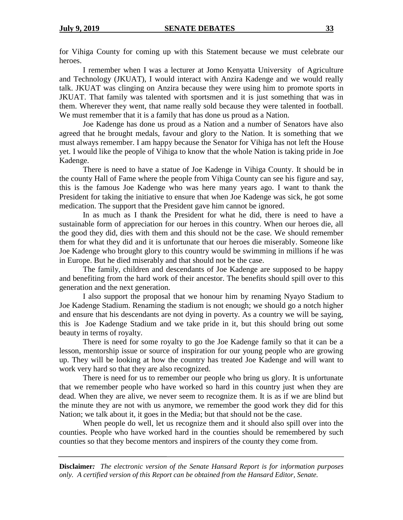for Vihiga County for coming up with this Statement because we must celebrate our heroes.

I remember when I was a lecturer at Jomo Kenyatta University of Agriculture and Technology (JKUAT), I would interact with Anzira Kadenge and we would really talk. JKUAT was clinging on Anzira because they were using him to promote sports in JKUAT. That family was talented with sportsmen and it is just something that was in them. Wherever they went, that name really sold because they were talented in football. We must remember that it is a family that has done us proud as a Nation.

Joe Kadenge has done us proud as a Nation and a number of Senators have also agreed that he brought medals, favour and glory to the Nation. It is something that we must always remember. I am happy because the Senator for Vihiga has not left the House yet. I would like the people of Vihiga to know that the whole Nation is taking pride in Joe Kadenge.

There is need to have a statue of Joe Kadenge in Vihiga County. It should be in the county Hall of Fame where the people from Vihiga County can see his figure and say, this is the famous Joe Kadenge who was here many years ago. I want to thank the President for taking the initiative to ensure that when Joe Kadenge was sick, he got some medication. The support that the President gave him cannot be ignored.

In as much as I thank the President for what he did, there is need to have a sustainable form of appreciation for our heroes in this country. When our heroes die, all the good they did, dies with them and this should not be the case. We should remember them for what they did and it is unfortunate that our heroes die miserably. Someone like Joe Kadenge who brought glory to this country would be swimming in millions if he was in Europe. But he died miserably and that should not be the case.

The family, children and descendants of Joe Kadenge are supposed to be happy and benefiting from the hard work of their ancestor. The benefits should spill over to this generation and the next generation.

I also support the proposal that we honour him by renaming Nyayo Stadium to Joe Kadenge Stadium. Renaming the stadium is not enough; we should go a notch higher and ensure that his descendants are not dying in poverty. As a country we will be saying, this is Joe Kadenge Stadium and we take pride in it, but this should bring out some beauty in terms of royalty.

There is need for some royalty to go the Joe Kadenge family so that it can be a lesson, mentorship issue or source of inspiration for our young people who are growing up. They will be looking at how the country has treated Joe Kadenge and will want to work very hard so that they are also recognized.

There is need for us to remember our people who bring us glory. It is unfortunate that we remember people who have worked so hard in this country just when they are dead. When they are alive, we never seem to recognize them. It is as if we are blind but the minute they are not with us anymore, we remember the good work they did for this Nation; we talk about it, it goes in the Media; but that should not be the case.

When people do well, let us recognize them and it should also spill over into the counties. People who have worked hard in the counties should be remembered by such counties so that they become mentors and inspirers of the county they come from.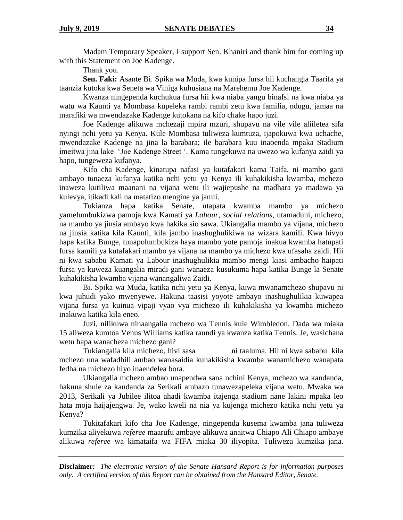Madam Temporary Speaker, I support Sen. Khaniri and thank him for coming up with this Statement on Joe Kadenge.

Thank you.

**Sen. Faki:** Asante Bi. Spika wa Muda, kwa kunipa fursa hii kuchangia Taarifa ya taanzia kutoka kwa Seneta wa Vihiga kuhusiana na Marehemu Joe Kadenge.

Kwanza ningependa kuchukua fursa hii kwa niaba yangu binafsi na kwa niaba ya watu wa Kaunti ya Mombasa kupeleka rambi rambi zetu kwa familia, ndugu, jamaa na marafiki wa mwendazake Kadenge kutokana na kifo chake hapo juzi.

Joe Kadenge alikuwa mchezaji mpira mzuri, shupavu na vile vile aliiletea sifa nyingi nchi yetu ya Kenya. Kule Mombasa tuliweza kumtuza, ijapokuwa kwa uchache, mwendazake Kadenge na jina la barabara; ile barabara kuu inaoenda mpaka Stadium imeitwa jina lake 'Joe Kadenge Street '. Kama tungekuwa na uwezo wa kufanya zaidi ya hapo, tungeweza kufanya.

Kifo cha Kadenge, kinatupa nafasi ya kutafakari kama Taifa, ni mambo gani ambayo tunaeza kufanya katika nchi yetu ya Kenya ili kuhakikisha kwamba, mchezo inaweza kutiliwa maanani na vijana wetu ili wajiepushe na madhara ya madawa ya kulevya, itikadi kali na matatizo mengine ya jamii.

Tukianza hapa katika Senate, utapata kwamba mambo ya michezo yamelumbukizwa pamoja kwa Kamati ya *Labour*, *social relations*, utamaduni, michezo, na mambo ya jinsia ambayo kwa hakika sio sawa. Ukiangalia mambo ya vijana, michezo na jinsia katika kila Kaunti, kila jambo inashughulikiwa na wizara kamili. Kwa hivyo hapa katika Bunge, tunapolumbukiza haya mambo yote pamoja inakua kwamba hatupati fursa kamili ya kutafakari mambo ya vijana na mambo ya michezo kwa ufasaha zaidi. Hii ni kwa sababu Kamati ya Labour inashughulikia mambo mengi kiasi ambacho haipati fursa ya kuweza kuangalia miradi gani wanaeza kusukuma hapa katika Bunge la Senate kuhakikisha kwamba vijana wanangaliwa Zaidi.

Bi. Spika wa Muda, katika nchi yetu ya Kenya, kuwa mwanamchezo shupavu ni kwa juhudi yako mwenyewe. Hakuna taasisi yoyote ambayo inashughulikia kuwapea vijana fursa ya kuinua vipaji vyao vya michezo ili kuhakikisha ya kwamba michezo inakuwa katika kila eneo.

Juzi, nilikuwa ninaangalia mchezo wa Tennis kule Wimbledon. Dada wa miaka 15 aliweza kumtoa Venus Williams katika raundi ya kwanza katika Tennis. Je, wasichana wetu hapa wanacheza michezo gani?

Tukiangalia kila michezo, hivi sasa ni taaluma. Hii ni kwa sababu kila mchezo una wafadhili ambao wanasaidia kuhakikisha kwamba wanamichezo wanapata fedha na michezo hiyo inaendelea bora.

Ukiangalia mchezo ambao unapendwa sana nchini Kenya, mchezo wa kandanda, hakuna shule za kandanda za Serikali ambazo tunawezapeleka vijana wetu. Mwaka wa 2013, Serikali ya Jubilee ilitoa ahadi kwamba itajenga stadium nane lakini mpaka leo hata moja haijajengwa. Je, wako kweli na nia ya kujenga michezo katika nchi yetu ya Kenya?

Tukitafakari kifo cha Joe Kadenge, ningependa kusema kwamba jana tuliweza kumzika aliyekuwa *referee* maarufu ambaye alikuwa anaitwa Chiapo Ali Chiapo ambaye alikuwa *referee* wa kimataifa wa FIFA miaka 30 iliyopita. Tuliweza kumzika jana.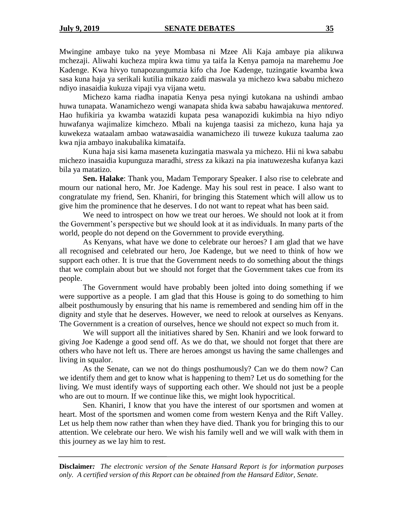Mwingine ambaye tuko na yeye Mombasa ni Mzee Ali Kaja ambaye pia alikuwa mchezaji. Aliwahi kucheza mpira kwa timu ya taifa la Kenya pamoja na marehemu Joe Kadenge. Kwa hivyo tunapozungumzia kifo cha Joe Kadenge, tuzingatie kwamba kwa sasa kuna haja ya serikali kutilia mikazo zaidi maswala ya michezo kwa sababu michezo ndiyo inasaidia kukuza vipaji vya vijana wetu.

Michezo kama riadha inapatia Kenya pesa nyingi kutokana na ushindi ambao huwa tunapata. Wanamichezo wengi wanapata shida kwa sababu hawajakuwa *mentored*. Hao hufikiria ya kwamba watazidi kupata pesa wanapozidi kukimbia na hiyo ndiyo huwafanya wajimalize kimchezo. Mbali na kujenga taasisi za michezo, kuna haja ya kuwekeza wataalam ambao watawasaidia wanamichezo ili tuweze kukuza taaluma zao kwa njia ambayo inakubalika kimataifa.

Kuna haja sisi kama maseneta kuzingatia maswala ya michezo. Hii ni kwa sababu michezo inasaidia kupunguza maradhi, *stress* za kikazi na pia inatuwezesha kufanya kazi bila ya matatizo.

**Sen. Halake**: Thank you, Madam Temporary Speaker. I also rise to celebrate and mourn our national hero, Mr. Joe Kadenge. May his soul rest in peace. I also want to congratulate my friend, Sen. Khaniri, for bringing this Statement which will allow us to give him the prominence that he deserves. I do not want to repeat what has been said.

We need to introspect on how we treat our heroes. We should not look at it from the Government's perspective but we should look at it as individuals. In many parts of the world, people do not depend on the Government to provide everything.

As Kenyans, what have we done to celebrate our heroes? I am glad that we have all recognised and celebrated our hero, Joe Kadenge, but we need to think of how we support each other. It is true that the Government needs to do something about the things that we complain about but we should not forget that the Government takes cue from its people.

The Government would have probably been jolted into doing something if we were supportive as a people. I am glad that this House is going to do something to him albeit posthumously by ensuring that his name is remembered and sending him off in the dignity and style that he deserves. However, we need to relook at ourselves as Kenyans. The Government is a creation of ourselves, hence we should not expect so much from it.

We will support all the initiatives shared by Sen. Khaniri and we look forward to giving Joe Kadenge a good send off. As we do that, we should not forget that there are others who have not left us. There are heroes amongst us having the same challenges and living in squalor.

As the Senate, can we not do things posthumously? Can we do them now? Can we identify them and get to know what is happening to them? Let us do something for the living. We must identify ways of supporting each other. We should not just be a people who are out to mourn. If we continue like this, we might look hypocritical.

Sen. Khaniri, I know that you have the interest of our sportsmen and women at heart. Most of the sportsmen and women come from western Kenya and the Rift Valley. Let us help them now rather than when they have died. Thank you for bringing this to our attention. We celebrate our hero. We wish his family well and we will walk with them in this journey as we lay him to rest.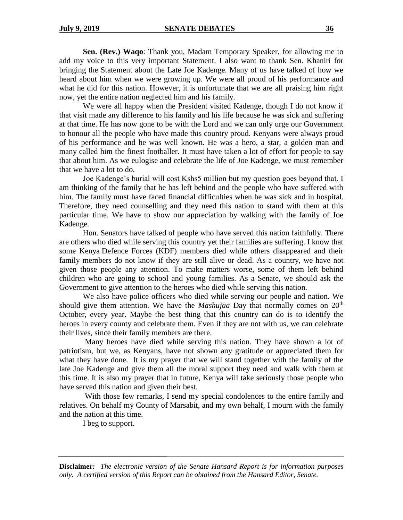**Sen. (Rev.) Waqo**: Thank you, Madam Temporary Speaker, for allowing me to add my voice to this very important Statement. I also want to thank Sen. Khaniri for bringing the Statement about the Late Joe Kadenge. Many of us have talked of how we heard about him when we were growing up. We were all proud of his performance and what he did for this nation. However, it is unfortunate that we are all praising him right now, yet the entire nation neglected him and his family.

We were all happy when the President visited Kadenge, though I do not know if that visit made any difference to his family and his life because he was sick and suffering at that time. He has now gone to be with the Lord and we can only urge our Government to honour all the people who have made this country proud. Kenyans were always proud of his performance and he was well known. He was a hero, a star, a golden man and many called him the finest footballer. It must have taken a lot of effort for people to say that about him. As we eulogise and celebrate the life of Joe Kadenge, we must remember that we have a lot to do.

Joe Kadenge's burial will cost Kshs5 million but my question goes beyond that. I am thinking of the family that he has left behind and the people who have suffered with him. The family must have faced financial difficulties when he was sick and in hospital. Therefore, they need counselling and they need this nation to stand with them at this particular time. We have to show our appreciation by walking with the family of Joe Kadenge.

Hon. Senators have talked of people who have served this nation faithfully. There are others who died while serving this country yet their families are suffering. I know that some Kenya Defence Forces (KDF) members died while others disappeared and their family members do not know if they are still alive or dead. As a country, we have not given those people any attention. To make matters worse, some of them left behind children who are going to school and young families. As a Senate, we should ask the Government to give attention to the heroes who died while serving this nation.

We also have police officers who died while serving our people and nation. We should give them attention. We have the *Mashujaa* Day that normally comes on  $20<sup>th</sup>$ October, every year. Maybe the best thing that this country can do is to identify the heroes in every county and celebrate them. Even if they are not with us, we can celebrate their lives, since their family members are there.

Many heroes have died while serving this nation. They have shown a lot of patriotism, but we, as Kenyans, have not shown any gratitude or appreciated them for what they have done. It is my prayer that we will stand together with the family of the late Joe Kadenge and give them all the moral support they need and walk with them at this time. It is also my prayer that in future, Kenya will take seriously those people who have served this nation and given their best.

With those few remarks, I send my special condolences to the entire family and relatives. On behalf my County of Marsabit, and my own behalf, I mourn with the family and the nation at this time.

I beg to support.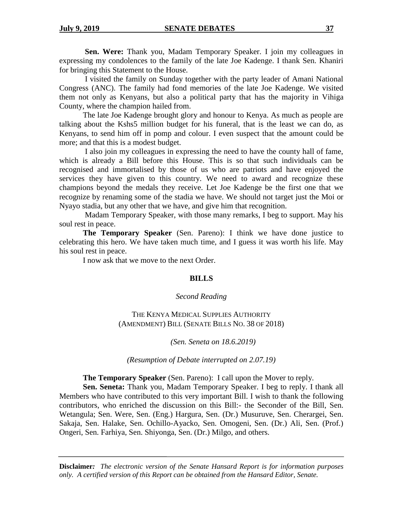**Sen. Were:** Thank you, Madam Temporary Speaker. I join my colleagues in expressing my condolences to the family of the late Joe Kadenge. I thank Sen. Khaniri for bringing this Statement to the House.

I visited the family on Sunday together with the party leader of Amani National Congress (ANC). The family had fond memories of the late Joe Kadenge. We visited them not only as Kenyans, but also a political party that has the majority in Vihiga County, where the champion hailed from.

The late Joe Kadenge brought glory and honour to Kenya. As much as people are talking about the Kshs5 million budget for his funeral, that is the least we can do, as Kenyans, to send him off in pomp and colour. I even suspect that the amount could be more; and that this is a modest budget.

I also join my colleagues in expressing the need to have the county hall of fame, which is already a Bill before this House. This is so that such individuals can be recognised and immortalised by those of us who are patriots and have enjoyed the services they have given to this country. We need to award and recognize these champions beyond the medals they receive. Let Joe Kadenge be the first one that we recognize by renaming some of the stadia we have. We should not target just the Moi or Nyayo stadia, but any other that we have, and give him that recognition.

Madam Temporary Speaker, with those many remarks, I beg to support. May his soul rest in peace.

**The Temporary Speaker** (Sen. Pareno): I think we have done justice to celebrating this hero. We have taken much time, and I guess it was worth his life. May his soul rest in peace.

I now ask that we move to the next Order.

#### **BILLS**

#### *Second Reading*

THE KENYA MEDICAL SUPPLIES AUTHORITY (AMENDMENT) BILL (SENATE BILLS NO. 38 OF 2018)

*(Sen. Seneta on 18.6.2019)*

*(Resumption of Debate interrupted on 2.07.19)*

**The Temporary Speaker** (Sen. Pareno): I call upon the Mover to reply.

**Sen. Seneta:** Thank you, Madam Temporary Speaker. I beg to reply. I thank all Members who have contributed to this very important Bill. I wish to thank the following contributors, who enriched the discussion on this Bill:- the Seconder of the Bill, Sen. Wetangula; Sen. Were, Sen. (Eng.) Hargura, Sen. (Dr.) Musuruve, Sen. Cherargei, Sen. Sakaja, Sen. Halake, Sen. Ochillo-Ayacko, Sen. Omogeni, Sen. (Dr.) Ali, Sen. (Prof.) Ongeri, Sen. Farhiya, Sen. Shiyonga, Sen. (Dr.) Milgo, and others.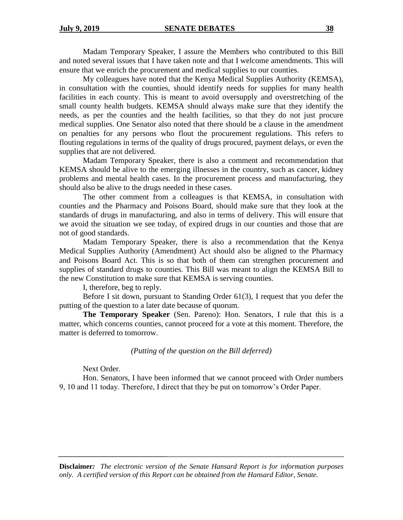Madam Temporary Speaker, I assure the Members who contributed to this Bill and noted several issues that I have taken note and that I welcome amendments. This will ensure that we enrich the procurement and medical supplies to our counties.

My colleagues have noted that the Kenya Medical Supplies Authority (KEMSA), in consultation with the counties, should identify needs for supplies for many health facilities in each county. This is meant to avoid oversupply and overstretching of the small county health budgets. KEMSA should always make sure that they identify the needs, as per the counties and the health facilities, so that they do not just procure medical supplies. One Senator also noted that there should be a clause in the amendment on penalties for any persons who flout the procurement regulations. This refers to flouting regulations in terms of the quality of drugs procured, payment delays, or even the supplies that are not delivered.

Madam Temporary Speaker, there is also a comment and recommendation that KEMSA should be alive to the emerging illnesses in the country, such as cancer, kidney problems and mental health cases. In the procurement process and manufacturing, they should also be alive to the drugs needed in these cases.

The other comment from a colleagues is that KEMSA, in consultation with counties and the Pharmacy and Poisons Board, should make sure that they look at the standards of drugs in manufacturing, and also in terms of delivery. This will ensure that we avoid the situation we see today, of expired drugs in our counties and those that are not of good standards.

Madam Temporary Speaker, there is also a recommendation that the Kenya Medical Supplies Authority (Amendment) Act should also be aligned to the Pharmacy and Poisons Board Act. This is so that both of them can strengthen procurement and supplies of standard drugs to counties. This Bill was meant to align the KEMSA Bill to the new Constitution to make sure that KEMSA is serving counties.

I, therefore, beg to reply.

Before I sit down, pursuant to Standing Order 61(3), I request that you defer the putting of the question to a later date because of quorum.

**The Temporary Speaker** (Sen. Pareno): Hon. Senators, I rule that this is a matter, which concerns counties, cannot proceed for a vote at this moment. Therefore, the matter is deferred to tomorrow.

## *(Putting of the question on the Bill deferred)*

Next Order.

Hon. Senators, I have been informed that we cannot proceed with Order numbers 9, 10 and 11 today. Therefore, I direct that they be put on tomorrow's Order Paper.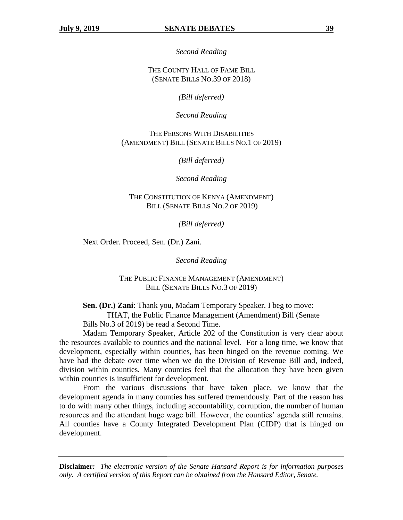*Second Reading*

THE COUNTY HALL OF FAME BILL (SENATE BILLS NO.39 OF 2018)

*(Bill deferred)*

*Second Reading*

THE PERSONS WITH DISABILITIES (AMENDMENT) BILL (SENATE BILLS NO.1 OF 2019)

*(Bill deferred)*

*Second Reading*

THE CONSTITUTION OF KENYA (AMENDMENT) BILL (SENATE BILLS NO.2 OF 2019)

*(Bill deferred)*

Next Order. Proceed, Sen. (Dr.) Zani.

*Second Reading*

THE PUBLIC FINANCE MANAGEMENT (AMENDMENT) BILL (SENATE BILLS NO.3 OF 2019)

**Sen. (Dr.) Zani**: Thank you, Madam Temporary Speaker. I beg to move:

THAT, the Public Finance Management (Amendment) Bill (Senate

Bills No.3 of 2019) be read a Second Time.

Madam Temporary Speaker, Article 202 of the Constitution is very clear about the resources available to counties and the national level. For a long time, we know that development, especially within counties, has been hinged on the revenue coming. We have had the debate over time when we do the Division of Revenue Bill and, indeed, division within counties. Many counties feel that the allocation they have been given within counties is insufficient for development.

From the various discussions that have taken place, we know that the development agenda in many counties has suffered tremendously. Part of the reason has to do with many other things, including accountability, corruption, the number of human resources and the attendant huge wage bill. However, the counties' agenda still remains. All counties have a County Integrated Development Plan (CIDP) that is hinged on development.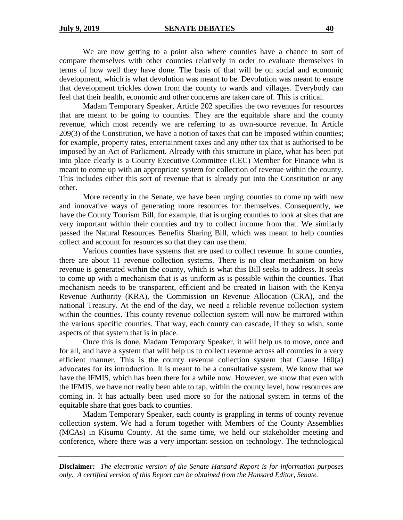We are now getting to a point also where counties have a chance to sort of compare themselves with other counties relatively in order to evaluate themselves in terms of how well they have done. The basis of that will be on social and economic development, which is what devolution was meant to be. Devolution was meant to ensure that development trickles down from the county to wards and villages. Everybody can feel that their health, economic and other concerns are taken care of. This is critical.

Madam Temporary Speaker, Article 202 specifies the two revenues for resources that are meant to be going to counties. They are the equitable share and the county revenue, which most recently we are referring to as own-source revenue. In Article 209(3) of the Constitution, we have a notion of taxes that can be imposed within counties; for example, property rates, entertainment taxes and any other tax that is authorised to be imposed by an Act of Parliament. Already with this structure in place, what has been put into place clearly is a County Executive Committee (CEC) Member for Finance who is meant to come up with an appropriate system for collection of revenue within the county. This includes either this sort of revenue that is already put into the Constitution or any other.

More recently in the Senate, we have been urging counties to come up with new and innovative ways of generating more resources for themselves. Consequently, we have the County Tourism Bill, for example, that is urging counties to look at sites that are very important within their counties and try to collect income from that. We similarly passed the Natural Resources Benefits Sharing Bill, which was meant to help counties collect and account for resources so that they can use them.

Various counties have systems that are used to collect revenue. In some counties, there are about 11 revenue collection systems. There is no clear mechanism on how revenue is generated within the county, which is what this Bill seeks to address. It seeks to come up with a mechanism that is as uniform as is possible within the counties. That mechanism needs to be transparent, efficient and be created in liaison with the Kenya Revenue Authority (KRA), the Commission on Revenue Allocation (CRA), and the national Treasury. At the end of the day, we need a reliable revenue collection system within the counties. This county revenue collection system will now be mirrored within the various specific counties. That way, each county can cascade, if they so wish, some aspects of that system that is in place.

Once this is done, Madam Temporary Speaker, it will help us to move, once and for all, and have a system that will help us to collect revenue across all counties in a very efficient manner. This is the county revenue collection system that Clause 160(a) advocates for its introduction. It is meant to be a consultative system. We know that we have the IFMIS, which has been there for a while now. However, we know that even with the IFMIS, we have not really been able to tap, within the county level, how resources are coming in. It has actually been used more so for the national system in terms of the equitable share that goes back to counties.

Madam Temporary Speaker, each county is grappling in terms of county revenue collection system. We had a forum together with Members of the County Assemblies (MCAs) in Kisumu County. At the same time, we held our stakeholder meeting and conference, where there was a very important session on technology. The technological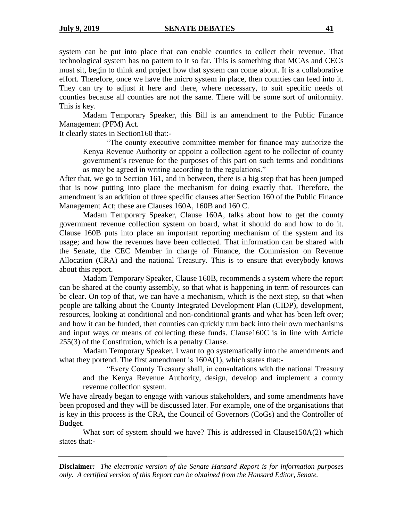system can be put into place that can enable counties to collect their revenue. That technological system has no pattern to it so far. This is something that MCAs and CECs must sit, begin to think and project how that system can come about. It is a collaborative effort. Therefore, once we have the micro system in place, then counties can feed into it. They can try to adjust it here and there, where necessary, to suit specific needs of counties because all counties are not the same. There will be some sort of uniformity. This is key.

Madam Temporary Speaker, this Bill is an amendment to the Public Finance Management (PFM) Act.

It clearly states in Section160 that:-

"The county executive committee member for finance may authorize the Kenya Revenue Authority or appoint a collection agent to be collector of county government's revenue for the purposes of this part on such terms and conditions as may be agreed in writing according to the regulations."

After that, we go to Section 161, and in between, there is a big step that has been jumped that is now putting into place the mechanism for doing exactly that. Therefore, the amendment is an addition of three specific clauses after Section 160 of the Public Finance Management Act; these are Clauses 160A, 160B and 160 C.

Madam Temporary Speaker, Clause 160A, talks about how to get the county government revenue collection system on board, what it should do and how to do it. Clause 160B puts into place an important reporting mechanism of the system and its usage; and how the revenues have been collected. That information can be shared with the Senate, the CEC Member in charge of Finance, the Commission on Revenue Allocation (CRA) and the national Treasury. This is to ensure that everybody knows about this report.

Madam Temporary Speaker, Clause 160B, recommends a system where the report can be shared at the county assembly, so that what is happening in term of resources can be clear. On top of that, we can have a mechanism, which is the next step, so that when people are talking about the County Integrated Development Plan (CIDP), development, resources, looking at conditional and non-conditional grants and what has been left over; and how it can be funded, then counties can quickly turn back into their own mechanisms and input ways or means of collecting these funds. Clause160C is in line with Article 255(3) of the Constitution, which is a penalty Clause.

Madam Temporary Speaker, I want to go systematically into the amendments and what they portend. The first amendment is  $160A(1)$ , which states that:-

"Every County Treasury shall, in consultations with the national Treasury and the Kenya Revenue Authority, design, develop and implement a county revenue collection system.

We have already began to engage with various stakeholders, and some amendments have been proposed and they will be discussed later. For example, one of the organisations that is key in this process is the CRA, the Council of Governors (CoGs) and the Controller of Budget.

What sort of system should we have? This is addressed in Clause150A(2) which states that:-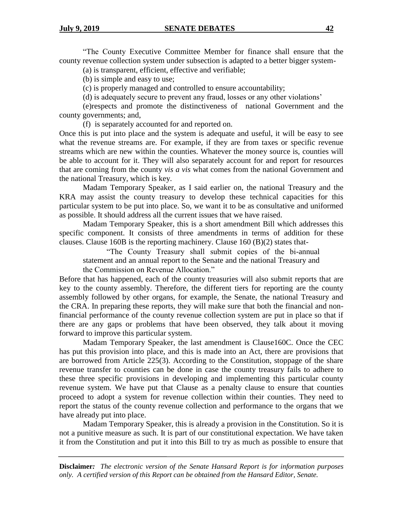"The County Executive Committee Member for finance shall ensure that the county revenue collection system under subsection is adapted to a better bigger system-

(a) is transparent, efficient, effective and verifiable;

(b) is simple and easy to use;

(c) is properly managed and controlled to ensure accountability;

(d) is adequately secure to prevent any fraud, losses or any other violations'

(e)respects and promote the distinctiveness of national Government and the county governments; and,

(f) is separately accounted for and reported on.

Once this is put into place and the system is adequate and useful, it will be easy to see what the revenue streams are. For example, if they are from taxes or specific revenue streams which are new within the counties. Whatever the money source is, counties will be able to account for it. They will also separately account for and report for resources that are coming from the county *vis a vis* what comes from the national Government and the national Treasury, which is key.

Madam Temporary Speaker, as I said earlier on, the national Treasury and the KRA may assist the county treasury to develop these technical capacities for this particular system to be put into place. So, we want it to be as consultative and uniformed as possible. It should address all the current issues that we have raised.

Madam Temporary Speaker, this is a short amendment Bill which addresses this specific component. It consists of three amendments in terms of addition for these clauses. Clause 160B is the reporting machinery. Clause 160 (B)(2) states that-

"The County Treasury shall submit copies of the bi-annual statement and an annual report to the Senate and the national Treasury and the Commission on Revenue Allocation."

Before that has happened, each of the county treasuries will also submit reports that are key to the county assembly. Therefore, the different tiers for reporting are the county assembly followed by other organs, for example, the Senate, the national Treasury and the CRA. In preparing these reports, they will make sure that both the financial and nonfinancial performance of the county revenue collection system are put in place so that if there are any gaps or problems that have been observed, they talk about it moving forward to improve this particular system.

Madam Temporary Speaker, the last amendment is Clause160C. Once the CEC has put this provision into place, and this is made into an Act, there are provisions that are borrowed from Article 225(3). According to the Constitution, stoppage of the share revenue transfer to counties can be done in case the county treasury fails to adhere to these three specific provisions in developing and implementing this particular county revenue system. We have put that Clause as a penalty clause to ensure that counties proceed to adopt a system for revenue collection within their counties. They need to report the status of the county revenue collection and performance to the organs that we have already put into place.

Madam Temporary Speaker, this is already a provision in the Constitution. So it is not a punitive measure as such. It is part of our constitutional expectation. We have taken it from the Constitution and put it into this Bill to try as much as possible to ensure that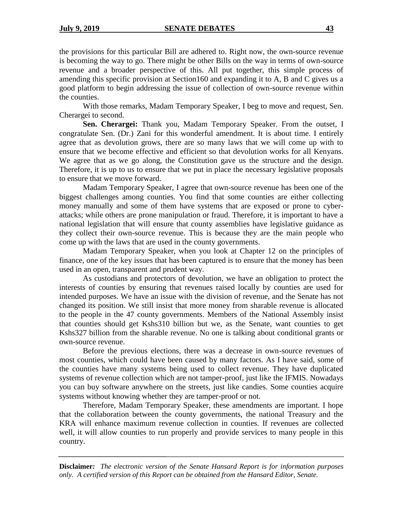the provisions for this particular Bill are adhered to. Right now, the own-source revenue is becoming the way to go. There might be other Bills on the way in terms of own-source revenue and a broader perspective of this. All put together, this simple process of amending this specific provision at Section160 and expanding it to A, B and C gives us a good platform to begin addressing the issue of collection of own-source revenue within the counties.

With those remarks, Madam Temporary Speaker, I beg to move and request, Sen. Cherargei to second.

**Sen. Cherargei:** Thank you, Madam Temporary Speaker. From the outset, I congratulate Sen. (Dr.) Zani for this wonderful amendment. It is about time. I entirely agree that as devolution grows, there are so many laws that we will come up with to ensure that we become effective and efficient so that devolution works for all Kenyans. We agree that as we go along, the Constitution gave us the structure and the design. Therefore, it is up to us to ensure that we put in place the necessary legislative proposals to ensure that we move forward.

Madam Temporary Speaker, I agree that own-source revenue has been one of the biggest challenges among counties. You find that some counties are either collecting money manually and some of them have systems that are exposed or prone to cyberattacks; while others are prone manipulation or fraud. Therefore, it is important to have a national legislation that will ensure that county assemblies have legislative guidance as they collect their own-source revenue. This is because they are the main people who come up with the laws that are used in the county governments.

Madam Temporary Speaker, when you look at Chapter 12 on the principles of finance, one of the key issues that has been captured is to ensure that the money has been used in an open, transparent and prudent way.

As custodians and protectors of devolution, we have an obligation to protect the interests of counties by ensuring that revenues raised locally by counties are used for intended purposes. We have an issue with the division of revenue, and the Senate has not changed its position. We still insist that more money from sharable revenue is allocated to the people in the 47 county governments. Members of the National Assembly insist that counties should get Kshs310 billion but we, as the Senate, want counties to get Kshs327 billion from the sharable revenue. No one is talking about conditional grants or own-source revenue.

Before the previous elections, there was a decrease in own-source revenues of most counties, which could have been caused by many factors. As I have said, some of the counties have many systems being used to collect revenue. They have duplicated systems of revenue collection which are not tamper-proof, just like the IFMIS. Nowadays you can buy software anywhere on the streets, just like candies. Some counties acquire systems without knowing whether they are tamper-proof or not.

Therefore, Madam Temporary Speaker, these amendments are important. I hope that the collaboration between the county governments, the national Treasury and the KRA will enhance maximum revenue collection in counties. If revenues are collected well, it will allow counties to run properly and provide services to many people in this country.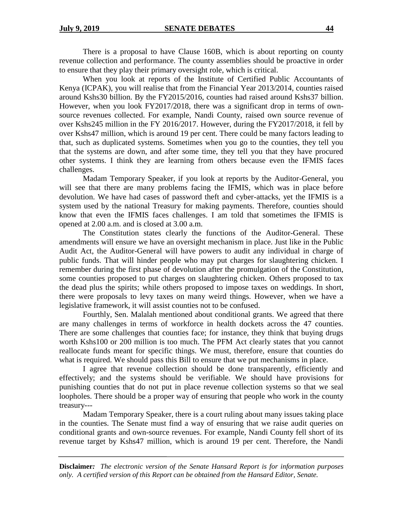There is a proposal to have Clause 160B, which is about reporting on county revenue collection and performance. The county assemblies should be proactive in order to ensure that they play their primary oversight role, which is critical.

When you look at reports of the Institute of Certified Public Accountants of Kenya (ICPAK), you will realise that from the Financial Year 2013/2014, counties raised around Kshs30 billion. By the FY2015/2016, counties had raised around Kshs37 billion. However, when you look FY2017/2018, there was a significant drop in terms of ownsource revenues collected. For example, Nandi County, raised own source revenue of over Kshs245 million in the FY 2016/2017. However, during the FY2017/2018, it fell by over Kshs47 million, which is around 19 per cent. There could be many factors leading to that, such as duplicated systems. Sometimes when you go to the counties, they tell you that the systems are down, and after some time, they tell you that they have procured other systems. I think they are learning from others because even the IFMIS faces challenges.

Madam Temporary Speaker, if you look at reports by the Auditor-General, you will see that there are many problems facing the IFMIS, which was in place before devolution. We have had cases of password theft and cyber-attacks, yet the IFMIS is a system used by the national Treasury for making payments. Therefore, counties should know that even the IFMIS faces challenges. I am told that sometimes the IFMIS is opened at 2.00 a.m. and is closed at 3.00 a.m.

The Constitution states clearly the functions of the Auditor-General. These amendments will ensure we have an oversight mechanism in place. Just like in the Public Audit Act, the Auditor-General will have powers to audit any individual in charge of public funds. That will hinder people who may put charges for slaughtering chicken. I remember during the first phase of devolution after the promulgation of the Constitution, some counties proposed to put charges on slaughtering chicken. Others proposed to tax the dead plus the spirits; while others proposed to impose taxes on weddings. In short, there were proposals to levy taxes on many weird things. However, when we have a legislative framework, it will assist counties not to be confused.

Fourthly, Sen. Malalah mentioned about conditional grants. We agreed that there are many challenges in terms of workforce in health dockets across the 47 counties. There are some challenges that counties face; for instance, they think that buying drugs worth Kshs100 or 200 million is too much. The PFM Act clearly states that you cannot reallocate funds meant for specific things. We must, therefore, ensure that counties do what is required. We should pass this Bill to ensure that we put mechanisms in place.

I agree that revenue collection should be done transparently, efficiently and effectively; and the systems should be verifiable. We should have provisions for punishing counties that do not put in place revenue collection systems so that we seal loopholes. There should be a proper way of ensuring that people who work in the county treasury---

Madam Temporary Speaker, there is a court ruling about many issues taking place in the counties. The Senate must find a way of ensuring that we raise audit queries on conditional grants and own-source revenues. For example, Nandi County fell short of its revenue target by Kshs47 million, which is around 19 per cent. Therefore, the Nandi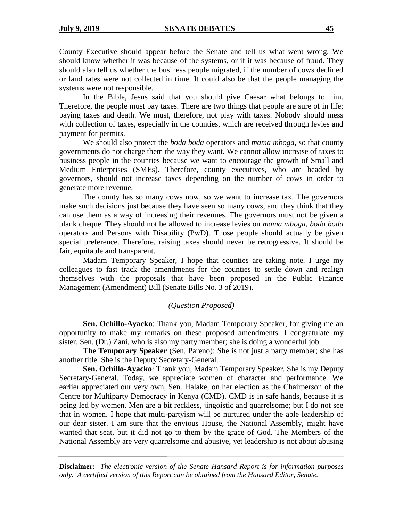County Executive should appear before the Senate and tell us what went wrong. We should know whether it was because of the systems, or if it was because of fraud. They should also tell us whether the business people migrated, if the number of cows declined or land rates were not collected in time. It could also be that the people managing the systems were not responsible.

In the Bible, Jesus said that you should give Caesar what belongs to him. Therefore, the people must pay taxes. There are two things that people are sure of in life; paying taxes and death. We must, therefore, not play with taxes. Nobody should mess with collection of taxes, especially in the counties, which are received through levies and payment for permits.

We should also protect the *boda boda* operators and *mama mboga,* so that county governments do not charge them the way they want. We cannot allow increase of taxes to business people in the counties because we want to encourage the growth of Small and Medium Enterprises (SMEs). Therefore, county executives, who are headed by governors, should not increase taxes depending on the number of cows in order to generate more revenue.

The county has so many cows now, so we want to increase tax. The governors make such decisions just because they have seen so many cows, and they think that they can use them as a way of increasing their revenues. The governors must not be given a blank cheque. They should not be allowed to increase levies on *mama mboga*, *boda boda* operators and Persons with Disability (PwD). Those people should actually be given special preference. Therefore, raising taxes should never be retrogressive. It should be fair, equitable and transparent.

Madam Temporary Speaker, I hope that counties are taking note. I urge my colleagues to fast track the amendments for the counties to settle down and realign themselves with the proposals that have been proposed in the Public Finance Management (Amendment) Bill (Senate Bills No. 3 of 2019).

#### *(Question Proposed)*

**Sen. Ochillo-Ayacko**: Thank you, Madam Temporary Speaker, for giving me an opportunity to make my remarks on these proposed amendments. I congratulate my sister, Sen. (Dr.) Zani, who is also my party member; she is doing a wonderful job.

**The Temporary Speaker** (Sen. Pareno): She is not just a party member; she has another title. She is the Deputy Secretary-General.

**Sen. Ochillo-Ayacko**: Thank you, Madam Temporary Speaker. She is my Deputy Secretary-General. Today, we appreciate women of character and performance. We earlier appreciated our very own, Sen. Halake, on her election as the Chairperson of the Centre for Multiparty Democracy in Kenya (CMD). CMD is in safe hands, because it is being led by women. Men are a bit reckless, jingoistic and quarrelsome; but I do not see that in women. I hope that multi-partyism will be nurtured under the able leadership of our dear sister. I am sure that the envious House, the National Assembly, might have wanted that seat, but it did not go to them by the grace of God. The Members of the National Assembly are very quarrelsome and abusive, yet leadership is not about abusing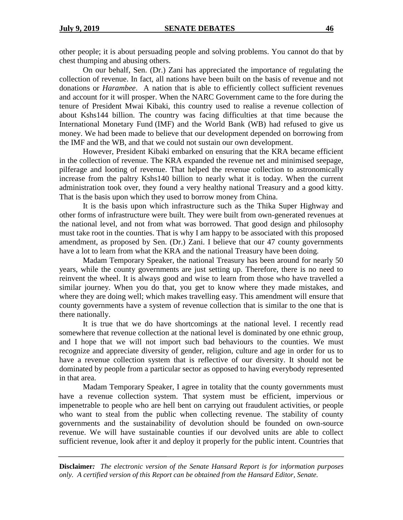other people; it is about persuading people and solving problems. You cannot do that by chest thumping and abusing others.

On our behalf, Sen. (Dr.) Zani has appreciated the importance of regulating the collection of revenue. In fact, all nations have been built on the basis of revenue and not donations or *Harambee*. A nation that is able to efficiently collect sufficient revenues and account for it will prosper. When the NARC Government came to the fore during the tenure of President Mwai Kibaki, this country used to realise a revenue collection of about Kshs144 billion. The country was facing difficulties at that time because the International Monetary Fund (IMF) and the World Bank (WB) had refused to give us money. We had been made to believe that our development depended on borrowing from the IMF and the WB, and that we could not sustain our own development.

However, President Kibaki embarked on ensuring that the KRA became efficient in the collection of revenue. The KRA expanded the revenue net and minimised seepage, pilferage and looting of revenue. That helped the revenue collection to astronomically increase from the paltry Kshs140 billion to nearly what it is today. When the current administration took over, they found a very healthy national Treasury and a good kitty. That is the basis upon which they used to borrow money from China.

It is the basis upon which infrastructure such as the Thika Super Highway and other forms of infrastructure were built. They were built from own-generated revenues at the national level, and not from what was borrowed. That good design and philosophy must take root in the counties. That is why I am happy to be associated with this proposed amendment, as proposed by Sen. (Dr.) Zani. I believe that our 47 county governments have a lot to learn from what the KRA and the national Treasury have been doing.

Madam Temporary Speaker, the national Treasury has been around for nearly 50 years, while the county governments are just setting up. Therefore, there is no need to reinvent the wheel. It is always good and wise to learn from those who have travelled a similar journey. When you do that, you get to know where they made mistakes, and where they are doing well; which makes travelling easy. This amendment will ensure that county governments have a system of revenue collection that is similar to the one that is there nationally.

It is true that we do have shortcomings at the national level. I recently read somewhere that revenue collection at the national level is dominated by one ethnic group, and I hope that we will not import such bad behaviours to the counties. We must recognize and appreciate diversity of gender, religion, culture and age in order for us to have a revenue collection system that is reflective of our diversity. It should not be dominated by people from a particular sector as opposed to having everybody represented in that area.

Madam Temporary Speaker, I agree in totality that the county governments must have a revenue collection system. That system must be efficient, impervious or impenetrable to people who are hell bent on carrying out fraudulent activities, or people who want to steal from the public when collecting revenue. The stability of county governments and the sustainability of devolution should be founded on own-source revenue. We will have sustainable counties if our devolved units are able to collect sufficient revenue, look after it and deploy it properly for the public intent. Countries that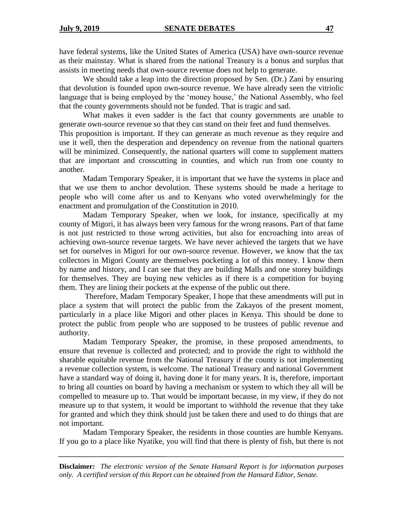have federal systems, like the United States of America (USA) have own-source revenue as their mainstay. What is shared from the national Treasury is a bonus and surplus that assists in meeting needs that own-source revenue does not help to generate.

We should take a leap into the direction proposed by Sen. (Dr.) Zani by ensuring that devolution is founded upon own-source revenue. We have already seen the vitriolic language that is being employed by the 'money house,' the National Assembly, who feel that the county governments should not be funded. That is tragic and sad.

What makes it even sadder is the fact that county governments are unable to generate own-source revenue so that they can stand on their feet and fund themselves.

This proposition is important. If they can generate as much revenue as they require and use it well, then the desperation and dependency on revenue from the national quarters will be minimized. Consequently, the national quarters will come to supplement matters that are important and crosscutting in counties, and which run from one county to another.

Madam Temporary Speaker, it is important that we have the systems in place and that we use them to anchor devolution. These systems should be made a heritage to people who will come after us and to Kenyans who voted overwhelmingly for the enactment and promulgation of the Constitution in 2010.

Madam Temporary Speaker, when we look, for instance, specifically at my county of Migori, it has always been very famous for the wrong reasons. Part of that fame is not just restricted to those wrong activities, but also for encroaching into areas of achieving own-source revenue targets. We have never achieved the targets that we have set for ourselves in Migori for our own-source revenue. However, we know that the tax collectors in Migori County are themselves pocketing a lot of this money. I know them by name and history, and I can see that they are building Malls and one storey buildings for themselves. They are buying new vehicles as if there is a competition for buying them. They are lining their pockets at the expense of the public out there.

Therefore, Madam Temporary Speaker, I hope that these amendments will put in place a system that will protect the public from the Zakayos of the present moment, particularly in a place like Migori and other places in Kenya. This should be done to protect the public from people who are supposed to be trustees of public revenue and authority.

Madam Temporary Speaker, the promise, in these proposed amendments, to ensure that revenue is collected and protected; and to provide the right to withhold the sharable equitable revenue from the National Treasury if the county is not implementing a revenue collection system, is welcome. The national Treasury and national Government have a standard way of doing it, having done it for many years. It is, therefore, important to bring all counties on board by having a mechanism or system to which they all will be compelled to measure up to. That would be important because, in my view, if they do not measure up to that system, it would be important to withhold the revenue that they take for granted and which they think should just be taken there and used to do things that are not important.

Madam Temporary Speaker, the residents in those counties are humble Kenyans. If you go to a place like Nyatike, you will find that there is plenty of fish, but there is not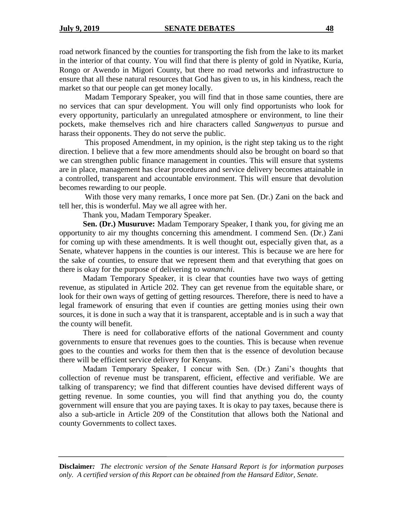road network financed by the counties for transporting the fish from the lake to its market in the interior of that county. You will find that there is plenty of gold in Nyatike, Kuria, Rongo or Awendo in Migori County, but there no road networks and infrastructure to ensure that all these natural resources that God has given to us, in his kindness, reach the market so that our people can get money locally.

Madam Temporary Speaker, you will find that in those same counties, there are no services that can spur development. You will only find opportunists who look for every opportunity, particularly an unregulated atmosphere or environment, to line their pockets, make themselves rich and hire characters called *Sangwenyas* to pursue and harass their opponents. They do not serve the public.

This proposed Amendment, in my opinion, is the right step taking us to the right direction. I believe that a few more amendments should also be brought on board so that we can strengthen public finance management in counties. This will ensure that systems are in place, management has clear procedures and service delivery becomes attainable in a controlled, transparent and accountable environment. This will ensure that devolution becomes rewarding to our people.

With those very many remarks, I once more pat Sen. (Dr.) Zani on the back and tell her, this is wonderful. May we all agree with her.

Thank you, Madam Temporary Speaker.

**Sen. (Dr.) Musuruve:** Madam Temporary Speaker, I thank you, for giving me an opportunity to air my thoughts concerning this amendment. I commend Sen. (Dr.) Zani for coming up with these amendments. It is well thought out, especially given that, as a Senate, whatever happens in the counties is our interest. This is because we are here for the sake of counties, to ensure that we represent them and that everything that goes on there is okay for the purpose of delivering to *wananchi*.

Madam Temporary Speaker, it is clear that counties have two ways of getting revenue, as stipulated in Article 202. They can get revenue from the equitable share, or look for their own ways of getting of getting resources. Therefore, there is need to have a legal framework of ensuring that even if counties are getting monies using their own sources, it is done in such a way that it is transparent, acceptable and is in such a way that the county will benefit.

There is need for collaborative efforts of the national Government and county governments to ensure that revenues goes to the counties. This is because when revenue goes to the counties and works for them then that is the essence of devolution because there will be efficient service delivery for Kenyans.

Madam Temporary Speaker, I concur with Sen. (Dr.) Zani's thoughts that collection of revenue must be transparent, efficient, effective and verifiable. We are talking of transparency; we find that different counties have devised different ways of getting revenue. In some counties, you will find that anything you do, the county government will ensure that you are paying taxes. It is okay to pay taxes, because there is also a sub-article in Article 209 of the Constitution that allows both the National and county Governments to collect taxes.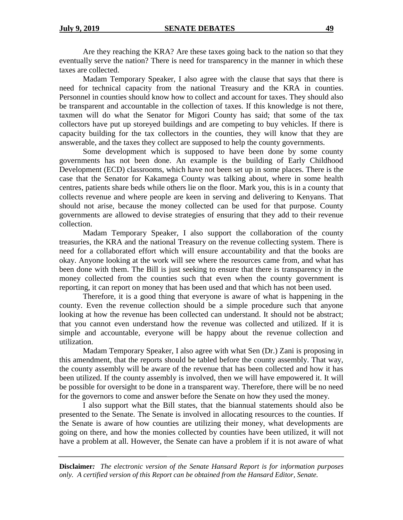Are they reaching the KRA? Are these taxes going back to the nation so that they eventually serve the nation? There is need for transparency in the manner in which these taxes are collected.

Madam Temporary Speaker, I also agree with the clause that says that there is need for technical capacity from the national Treasury and the KRA in counties. Personnel in counties should know how to collect and account for taxes. They should also be transparent and accountable in the collection of taxes. If this knowledge is not there, taxmen will do what the Senator for Migori County has said; that some of the tax collectors have put up storeyed buildings and are competing to buy vehicles. If there is capacity building for the tax collectors in the counties, they will know that they are answerable, and the taxes they collect are supposed to help the county governments.

Some development which is supposed to have been done by some county governments has not been done. An example is the building of Early Childhood Development (ECD) classrooms, which have not been set up in some places. There is the case that the Senator for Kakamega County was talking about, where in some health centres, patients share beds while others lie on the floor. Mark you, this is in a county that collects revenue and where people are keen in serving and delivering to Kenyans. That should not arise, because the money collected can be used for that purpose. County governments are allowed to devise strategies of ensuring that they add to their revenue collection.

Madam Temporary Speaker, I also support the collaboration of the county treasuries, the KRA and the national Treasury on the revenue collecting system. There is need for a collaborated effort which will ensure accountability and that the books are okay. Anyone looking at the work will see where the resources came from, and what has been done with them. The Bill is just seeking to ensure that there is transparency in the money collected from the counties such that even when the county government is reporting, it can report on money that has been used and that which has not been used.

Therefore, it is a good thing that everyone is aware of what is happening in the county. Even the revenue collection should be a simple procedure such that anyone looking at how the revenue has been collected can understand. It should not be abstract; that you cannot even understand how the revenue was collected and utilized. If it is simple and accountable, everyone will be happy about the revenue collection and utilization.

Madam Temporary Speaker, I also agree with what Sen (Dr.) Zani is proposing in this amendment, that the reports should be tabled before the county assembly. That way, the county assembly will be aware of the revenue that has been collected and how it has been utilized. If the county assembly is involved, then we will have empowered it. It will be possible for oversight to be done in a transparent way. Therefore, there will be no need for the governors to come and answer before the Senate on how they used the money.

I also support what the Bill states, that the biannual statements should also be presented to the Senate. The Senate is involved in allocating resources to the counties. If the Senate is aware of how counties are utilizing their money, what developments are going on there, and how the monies collected by counties have been utilized, it will not have a problem at all. However, the Senate can have a problem if it is not aware of what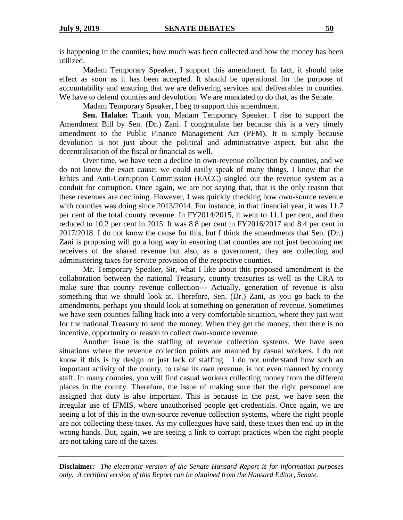is happening in the counties; how much was been collected and how the money has been utilized.

Madam Temporary Speaker, I support this amendment. In fact, it should take effect as soon as it has been accepted. It should be operational for the purpose of accountability and ensuring that we are delivering services and deliverables to counties. We have to defend counties and devolution. We are mandated to do that, as the Senate.

Madam Temporary Speaker, I beg to support this amendment.

**Sen. Halake:** Thank you, Madam Temporary Speaker. I rise to support the Amendment Bill by Sen. (Dr.) Zani. I congratulate her because this is a very timely amendment to the Public Finance Management Act (PFM). It is simply because devolution is not just about the political and administrative aspect, but also the decentralisation of the fiscal or financial as well.

Over time, we have seen a decline in own-revenue collection by counties, and we do not know the exact cause; we could easily speak of many things. I know that the Ethics and Anti-Corruption Commission (EACC) singled out the revenue system as a conduit for corruption. Once again, we are not saying that, that is the only reason that these revenues are declining. However, I was quickly checking how own-source revenue with counties was doing since 2013/2014. For instance, in that financial year, it was 11.7 per cent of the total county revenue. In FY2014/2015, it went to 11.1 per cent, and then reduced to 10.2 per cent in 2015. It was 8.8 per cent in FY2016/2017 and 8.4 per cent in 2017/2018. I do not know the cause for this, but I think the amendments that Sen. (Dr.) Zani is proposing will go a long way in ensuring that counties are not just becoming net receivers of the shared revenue but also, as a government, they are collecting and administering taxes for service provision of the respective counties.

Mr. Temporary Speaker, Sir, what I like about this proposed amendment is the collaboration between the national Treasury, county treasuries as well as the CRA to make sure that county revenue collection--- Actually, generation of revenue is also something that we should look at. Therefore, Sen. (Dr.) Zani, as you go back to the amendments, perhaps you should look at something on generation of revenue. Sometimes we have seen counties falling back into a very comfortable situation, where they just wait for the national Treasury to send the money. When they get the money, then there is no incentive, opportunity or reason to collect own-source revenue.

Another issue is the staffing of revenue collection systems. We have seen situations where the revenue collection points are manned by casual workers. I do not know if this is by design or just lack of staffing. I do not understand how such an important activity of the county, to raise its own revenue, is not even manned by county staff. In many counties, you will find casual workers collecting money from the different places in the county. Therefore, the issue of making sure that the right personnel are assigned that duty is also important. This is because in the past, we have seen the irregular use of IFMIS, where unauthorised people get credentials. Once again, we are seeing a lot of this in the own-source revenue collection systems, where the right people are not collecting these taxes. As my colleagues have said, these taxes then end up in the wrong hands. But, again, we are seeing a link to corrupt practices when the right people are not taking care of the taxes.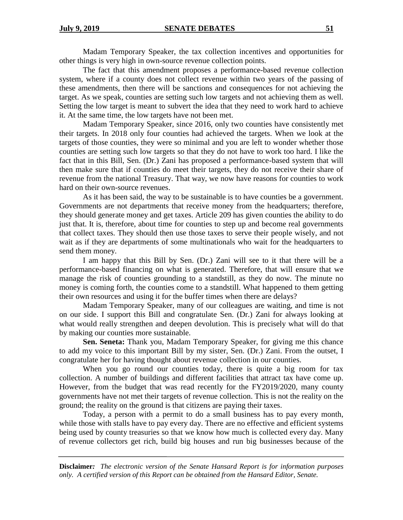Madam Temporary Speaker, the tax collection incentives and opportunities for other things is very high in own-source revenue collection points.

The fact that this amendment proposes a performance-based revenue collection system, where if a county does not collect revenue within two years of the passing of these amendments, then there will be sanctions and consequences for not achieving the target. As we speak, counties are setting such low targets and not achieving them as well. Setting the low target is meant to subvert the idea that they need to work hard to achieve it. At the same time, the low targets have not been met.

Madam Temporary Speaker, since 2016, only two counties have consistently met their targets. In 2018 only four counties had achieved the targets. When we look at the targets of those counties, they were so minimal and you are left to wonder whether those counties are setting such low targets so that they do not have to work too hard. I like the fact that in this Bill, Sen. (Dr.) Zani has proposed a performance-based system that will then make sure that if counties do meet their targets, they do not receive their share of revenue from the national Treasury. That way, we now have reasons for counties to work hard on their own-source revenues.

As it has been said, the way to be sustainable is to have counties be a government. Governments are not departments that receive money from the headquarters; therefore, they should generate money and get taxes. Article 209 has given counties the ability to do just that. It is, therefore, about time for counties to step up and become real governments that collect taxes. They should then use those taxes to serve their people wisely, and not wait as if they are departments of some multinationals who wait for the headquarters to send them money.

I am happy that this Bill by Sen. (Dr.) Zani will see to it that there will be a performance-based financing on what is generated. Therefore, that will ensure that we manage the risk of counties grounding to a standstill, as they do now. The minute no money is coming forth, the counties come to a standstill. What happened to them getting their own resources and using it for the buffer times when there are delays?

Madam Temporary Speaker, many of our colleagues are waiting, and time is not on our side. I support this Bill and congratulate Sen. (Dr.) Zani for always looking at what would really strengthen and deepen devolution. This is precisely what will do that by making our counties more sustainable.

**Sen. Seneta:** Thank you, Madam Temporary Speaker, for giving me this chance to add my voice to this important Bill by my sister, Sen. (Dr.) Zani. From the outset, I congratulate her for having thought about revenue collection in our counties.

When you go round our counties today, there is quite a big room for tax collection. A number of buildings and different facilities that attract tax have come up. However, from the budget that was read recently for the FY2019/2020, many county governments have not met their targets of revenue collection. This is not the reality on the ground; the reality on the ground is that citizens are paying their taxes.

Today, a person with a permit to do a small business has to pay every month, while those with stalls have to pay every day. There are no effective and efficient systems being used by county treasuries so that we know how much is collected every day. Many of revenue collectors get rich, build big houses and run big businesses because of the